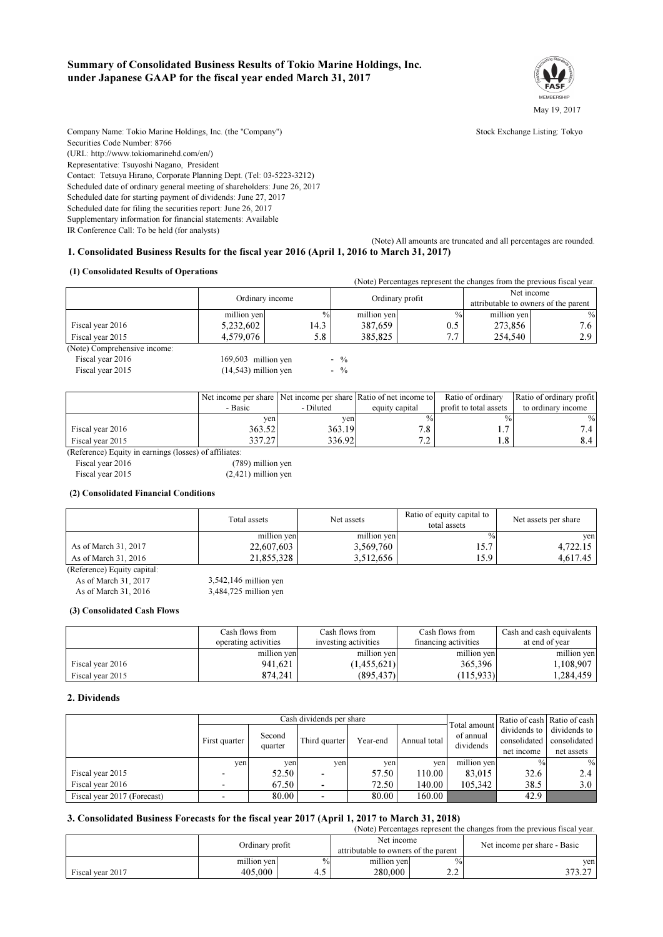### Summary of Consolidated Business Results of Tokio Marine Holdings, Inc. under Japanese GAAP for the fiscal year ended March 31, 2017



Company Name: Tokio Marine Holdings. Inc. (the "Company") Stock Exchange Listing: Tokyo Securities Code Number: 8766 (URL: http://www.tokiomarinehd.com/en/) Representative: Tsuyoshi Nagano, President Contact: Tetsuya Hirano, Corporate Planning Dept. (Tel: 03-5223-3212) Scheduled date of ordinary general meeting of shareholders: June 26, 2017 Scheduled date for starting payment of dividends: June 27, 2017 Scheduled date for filing the securities report: June 26, 2017 Supplementary information for financial statements: Available

IR Conference Call: To be held (for analysts)

(Note) All amounts are truncated and all percentages are rounded. 1. Consolidated Business Results for the fiscal year 2016 (April 1, 2016 to March 31, 2017)

#### (1) Consolidated Results of Operations

|                              |                        |                 |             |                 | (Note) Percentages represent the changes from the previous fiscal year. |                                      |  |
|------------------------------|------------------------|-----------------|-------------|-----------------|-------------------------------------------------------------------------|--------------------------------------|--|
|                              |                        |                 |             |                 | Net income                                                              |                                      |  |
|                              |                        | Ordinary income |             | Ordinary profit |                                                                         | attributable to owners of the parent |  |
|                              | million yen            | $\frac{0}{0}$   | million yen | $\%$            | million yen                                                             | $\frac{0}{0}$                        |  |
| Fiscal year 2016             | 5,232,602              | 14.3            | 387,659     | 0.5             | 273,856                                                                 | 7.6                                  |  |
| Fiscal year 2015             | 4,579,076              | 5.8             | 385,825     | 7.7             | 254,540                                                                 | 2.9                                  |  |
| (Note) Comprehensive income: |                        |                 |             |                 |                                                                         |                                      |  |
| Fiscal year 2016             | 169,603 million yen    |                 | $-$ %       |                 |                                                                         |                                      |  |
| Fiscal year 2015             | $(14,543)$ million yen |                 | $-$ %       |                 |                                                                         |                                      |  |
|                              |                        |                 |             |                 |                                                                         |                                      |  |

|                  |         |           | Net income per share Net income per share Ratio of net income to | Ratio of ordinary      | Ratio of ordinary profit |
|------------------|---------|-----------|------------------------------------------------------------------|------------------------|--------------------------|
|                  | - Basic | - Diluted | equity capital                                                   | profit to total assets | to ordinary income       |
|                  | yen.    | ven       |                                                                  |                        | $\%$                     |
| Fiscal year 2016 | 363.52  | 363.19    | 70<br>۰.٥                                                        |                        |                          |
| Fiscal year 2015 | 337.27  | 336.92    | ר ד                                                              | .8                     |                          |

(Reference) Equity in earnings (losses) of affiliates:

Fiscal year 2016 (789) million yen

Fiscal year 2015 (2,421) million yen

#### (2) Consolidated Financial Conditions

|                      | Total assets | Net assets  | Ratio of equity capital to<br>total assets | Net assets per share |
|----------------------|--------------|-------------|--------------------------------------------|----------------------|
|                      | million yen  | million yen | $\%$                                       | ven                  |
| As of March 31, 2017 | 22,607,603   | 3,569,760   | 15.7                                       | 4,722.15             |
| As of March 31, 2016 | 21.855.328   | 3.512.656   | 15.9                                       | 4,617.45             |
|                      |              |             |                                            |                      |

(Reference) Equity capital: As of March 31, 2017 3,542,146 million yen As of March 31, 2016 3,484,725 million yen

#### (3) Consolidated Cash Flows

|                  | Cash flows from      | Cash flows from      | Cash flows from      | Cash and cash equivalents |
|------------------|----------------------|----------------------|----------------------|---------------------------|
|                  | operating activities | investing activities | financing activities | at end of year            |
|                  | million yen          | million yen          | million yen          | million yen               |
| Fiscal year 2016 | 941.621              | (1,455,621)          | 365,396              | 1.108.907                 |
| Fiscal year 2015 | 874,241              | (895, 437)           | (115, 933)           | 1.284.459                 |

#### 2. Dividends

|                             | Cash dividends per share |         |               |          | Total amount | Ratio of cash Ratio of cash |               |                           |
|-----------------------------|--------------------------|---------|---------------|----------|--------------|-----------------------------|---------------|---------------------------|
|                             |                          | Second  |               |          |              | of annual                   |               | dividends to dividends to |
|                             | First quarter            | quarter | Third quarter | Year-end | Annual total | dividends                   | consolidated  | consolidated              |
|                             |                          |         |               |          |              |                             | net income    | net assets                |
|                             | yen                      | yen     | ven           | ven      | ven          | million yen                 | $\frac{0}{0}$ | $\%$                      |
| Fiscal year 2015            |                          | 52.50   |               | 57.50    | 110.00       | 83,015                      | 32.6          | 2.4                       |
| Fiscal year 2016            |                          | 67.50   |               | 72.50    | 140.00       | 105.342                     | 38.5          | 3.0                       |
| Fiscal year 2017 (Forecast) |                          | 80.00   |               | 80.00    | 160.00       |                             | 42.9          |                           |

#### 3. Consolidated Business Forecasts for the fiscal year 2017 (April 1, 2017 to March 31, 2018)

(Note) Percentages represent the changes from the previous fiscal year.

|                  |             | Ordinary profit |                                      | Net income             | Net income per share - Basic |  |
|------------------|-------------|-----------------|--------------------------------------|------------------------|------------------------------|--|
|                  |             |                 | attributable to owners of the parent |                        |                              |  |
|                  | million ven | $\frac{0}{0}$   | million ven                          | $\%$                   | ven.                         |  |
| Fiscal year 2017 | 405,000     |                 | 280,000                              | $\sim$<br><u>_ . _</u> | 272.27<br>، ۱.۵۰ د           |  |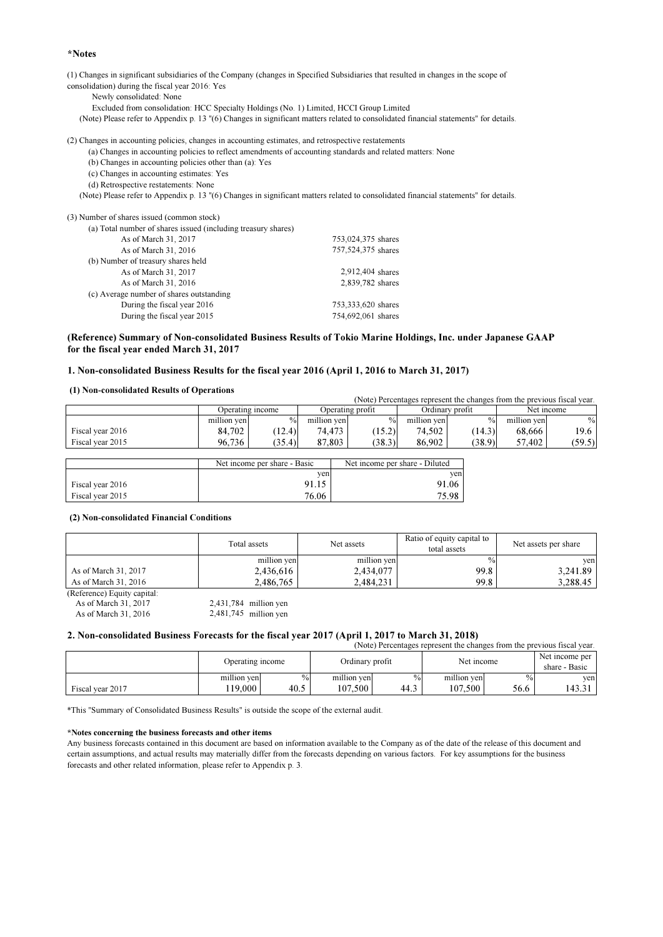#### \*Notes

(1) Changes in significant subsidiaries of the Company (changes in Specified Subsidiaries that resulted in changes in the scope of consolidation) during the fiscal year 2016: Yes

Newly consolidated: None

- Excluded from consolidation: HCC Specialty Holdings (No. 1) Limited, HCCI Group Limited
- (Note) Please refer to Appendix p. 13 "(6) Changes in significant matters related to consolidated financial statements" for details.

(2) Changes in accounting policies, changes in accounting estimates, and retrospective restatements

- (a) Changes in accounting policies to reflect amendments of accounting standards and related matters: None
- (b) Changes in accounting policies other than (a): Yes
- (c) Changes in accounting estimates: Yes
- (d) Retrospective restatements: None

(Note) Please refer to Appendix p. 13 "(6) Changes in significant matters related to consolidated financial statements" for details.

(3) Number of shares issued (common stock)

| (a) Total number of shares issued (including treasury shares) |                    |
|---------------------------------------------------------------|--------------------|
| As of March 31, 2017                                          | 753,024,375 shares |
| As of March 31, 2016                                          | 757,524,375 shares |
| (b) Number of treasury shares held                            |                    |
| As of March 31, 2017                                          | 2,912,404 shares   |
| As of March 31, 2016                                          | 2,839,782 shares   |
| (c) Average number of shares outstanding                      |                    |
| During the fiscal year 2016                                   | 753,333,620 shares |
| During the fiscal year 2015                                   | 754,692,061 shares |

#### (Reference) Summary of Non-consolidated Business Results of Tokio Marine Holdings, Inc. under Japanese GAAP for the fiscal year ended March 31, 2017

#### 1. Non-consolidated Business Results for the fiscal year 2016 (April 1, 2016 to March 31, 2017)

#### (1) Non-consolidated Results of Operations

|                  |             |                              |             |                                |             | (Note) Percentages represent the changes from the previous fiscal year. |             |            |
|------------------|-------------|------------------------------|-------------|--------------------------------|-------------|-------------------------------------------------------------------------|-------------|------------|
|                  |             | Operating income             |             | Operating profit               |             | Ordinary profit                                                         |             | Net income |
|                  | million ven | $\frac{0}{0}$                | million ven | $\frac{0}{0}$                  | million ven | $\frac{0}{0}$                                                           | million ven | $\%$       |
| Fiscal year 2016 | 84.702      | (12.4)                       | 74.473 1    | (15.2)                         | 74,502 +    | (14.3)                                                                  | 68.666      | 19.6       |
| Fiscal year 2015 | 96.736      | (35.4)                       | 87.803      | (38.3)                         | 86,902      | (38.9)                                                                  | 57.402      | (59.5)     |
|                  |             |                              |             |                                |             |                                                                         |             |            |
|                  |             | Net income per share - Basic |             | Net income per share - Diluted |             |                                                                         |             |            |

|                  | Net income per snare - Basic | Net income per share - Diluted |
|------------------|------------------------------|--------------------------------|
|                  | yen <sub>1</sub>             | ven                            |
| Fiscal year 2016 | 91.15                        | 91.06                          |
| Fiscal year 2015 | 76.06                        | 75.98                          |

#### (2) Non-consolidated Financial Conditions

|                             | Total assets | Net assets  | Ratio of equity capital to<br>total assets | Net assets per share |
|-----------------------------|--------------|-------------|--------------------------------------------|----------------------|
|                             | million yen  | million yen | $\frac{0}{0}$                              | ven                  |
| As of March 31, 2017        | 2,436,616    | 2,434,077   | 99.8                                       | 3,241.89             |
| As of March 31, 2016        | 2.486.765    | 2.484.231   | 99.8                                       | 3.288.45             |
| (Reference) Equity capital: |              |             |                                            |                      |

(eterence) Equity capital:<br>As of March 31, 2017 As of March 31, 2017 2,431,784 million yen

As of March 31, 2016 2,481,745 million yen

#### 2. Non-consolidated Business Forecasts for the fiscal year 2017 (April 1, 2017 to March 31, 2018)

|                  |                  |      |                 |      |             |               | (Note) Percentages represent the changes from the previous fiscal year. |
|------------------|------------------|------|-----------------|------|-------------|---------------|-------------------------------------------------------------------------|
|                  | Operating income |      | Ordinary profit |      | Net income  |               | Net income per<br>share - Basic                                         |
|                  | million yen      | $\%$ | million yen     | $\%$ | million yen | $\frac{0}{0}$ | ven                                                                     |
| Fiscal year 2017 | 119.000          | 40.5 | 107.500         | 44.3 | 107.500     | 56.6          | 143.31                                                                  |

\*This "Summary of Consolidated Business Results" is outside the scope of the external audit.

#### \*Notes concerning the business forecasts and other items

Any business forecasts contained in this document are based on information available to the Company as of the date of the release of this document and certain assumptions, and actual results may materially differ from the forecasts depending on various factors. For key assumptions for the business forecasts and other related information, please refer to Appendix p. 3.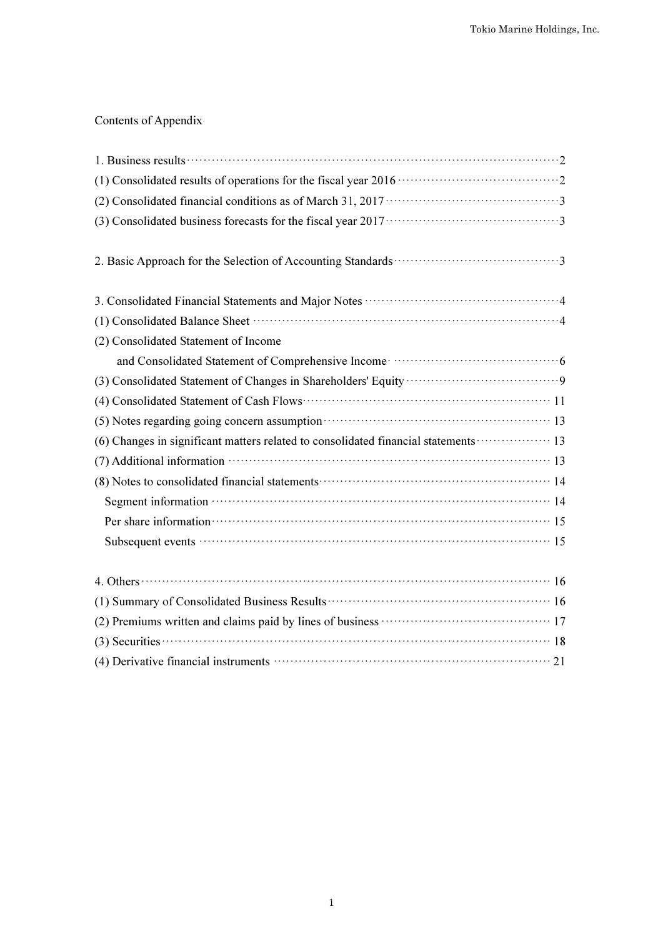# Contents of Appendix

| 1. Business results $\cdots$ $\cdots$ $\cdots$ $\cdots$ $\cdots$ $\cdots$ $\cdots$ $\cdots$ $\cdots$ $\cdots$ $\cdots$ $\cdots$ $\cdots$ $\cdots$ $\cdots$ $\cdots$ $\cdots$ $\cdots$ $\cdots$ $\cdots$ $\cdots$ $\cdots$ $\cdots$ $\cdots$ $\cdots$ $\cdots$ $\cdots$ $\cdots$ $\cdots$ $\cdots$ $\cdots$ $\cdots$ $\cdots$ $\cd$ |
|------------------------------------------------------------------------------------------------------------------------------------------------------------------------------------------------------------------------------------------------------------------------------------------------------------------------------------|
|                                                                                                                                                                                                                                                                                                                                    |
|                                                                                                                                                                                                                                                                                                                                    |
| (3) Consolidated business forecasts for the fiscal year $2017 \cdots \cdots \cdots \cdots \cdots \cdots \cdots \cdots \cdots$                                                                                                                                                                                                      |
|                                                                                                                                                                                                                                                                                                                                    |
|                                                                                                                                                                                                                                                                                                                                    |
|                                                                                                                                                                                                                                                                                                                                    |
| (2) Consolidated Statement of Income                                                                                                                                                                                                                                                                                               |
|                                                                                                                                                                                                                                                                                                                                    |
|                                                                                                                                                                                                                                                                                                                                    |
|                                                                                                                                                                                                                                                                                                                                    |
| (5) Notes regarding going concern assumption (200) (3) Notes regarding going concern assumption (3)                                                                                                                                                                                                                                |
| (6) Changes in significant matters related to consolidated financial statements ·················· 13                                                                                                                                                                                                                              |
| $(7)$ Additional information $\cdots$ $\cdots$ $\cdots$ $\cdots$ $\cdots$ $\cdots$ $\cdots$ $\cdots$ $\cdots$ $\cdots$ $\cdots$ 13                                                                                                                                                                                                 |
| (8) Notes to consolidated financial statements (2) and the statements (3) Notes to consolidated financial statements (3) and $\frac{14}{3}$                                                                                                                                                                                        |
|                                                                                                                                                                                                                                                                                                                                    |
| Per share information <b>contract the contract of the state of the state of the state information</b> 15                                                                                                                                                                                                                           |
|                                                                                                                                                                                                                                                                                                                                    |
| 4. Others $\cdots$ $\cdots$ $\cdots$ $\cdots$ $\cdots$ $\cdots$ $\cdots$ $\cdots$ $\cdots$ $\cdots$ $\cdots$ $\cdots$ $\cdots$ $\cdots$ $\cdots$ $\cdots$ $\cdots$ $\cdots$ $\cdots$ $\cdots$ $\cdots$                                                                                                                             |
|                                                                                                                                                                                                                                                                                                                                    |
|                                                                                                                                                                                                                                                                                                                                    |
| $(3)$ Securities $\cdots$ 18                                                                                                                                                                                                                                                                                                       |
|                                                                                                                                                                                                                                                                                                                                    |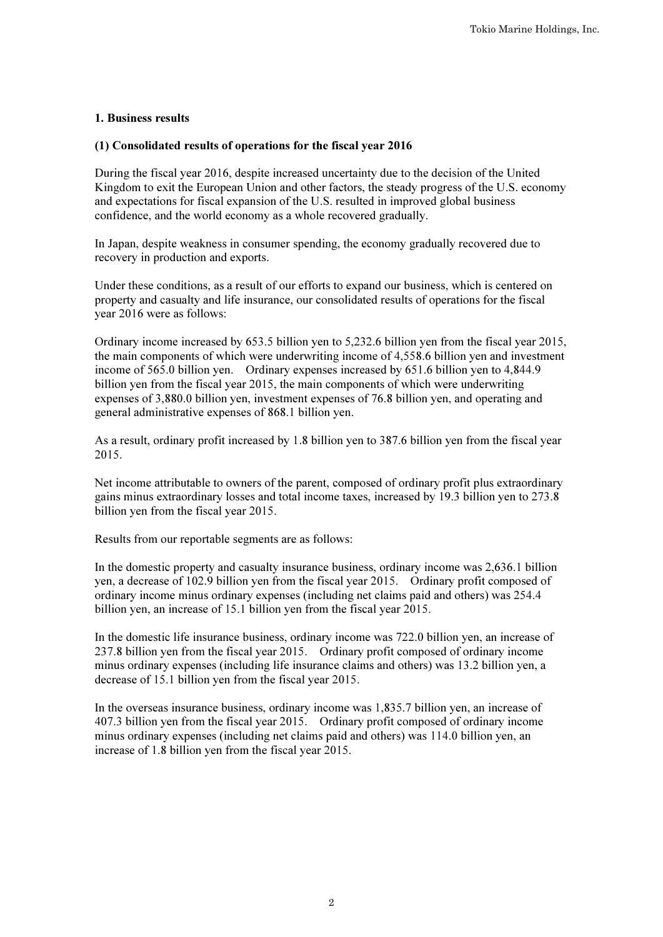# 1. Business results

## (1) Consolidated results of operations for the fiscal year 2016

During the fiscal year 2016, despite increased uncertainty due to the decision of the United Kingdom to exit the European Union and other factors, the steady progress of the U.S. economy and expectations for fiscal expansion of the U.S. resulted in improved global business confidence, and the world economy as a whole recovered gradually.

In Japan, despite weakness in consumer spending, the economy gradually recovered due to recovery in production and exports.

Under these conditions, as a result of our efforts to expand our business, which is centered on property and casualty and life insurance, our consolidated results of operations for the fiscal year 2016 were as follows:

Ordinary income increased by 653.5 billion yen to 5,232.6 billion yen from the fiscal year 2015, the main components of which were underwriting income of 4,558.6 billion yen and investment income of 565.0 billion yen. Ordinary expenses increased by 651.6 billion yen to 4,844.9 billion yen from the fiscal year 2015, the main components of which were underwriting expenses of 3,880.0 billion yen, investment expenses of 76.8 billion yen, and operating and general administrative expenses of 868.1 billion yen.

As a result, ordinary profit increased by 1.8 billion yen to 387.6 billion yen from the fiscal year 2015.

Net income attributable to owners of the parent, composed of ordinary profit plus extraordinary gains minus extraordinary losses and total income taxes, increased by 19.3 billion yen to 273.8 billion yen from the fiscal year 2015.

Results from our reportable segments are as follows:

In the domestic property and casualty insurance business, ordinary income was 2,636.1 billion yen, a decrease of 102.9 billion yen from the fiscal year 2015. Ordinary profit composed of ordinary income minus ordinary expenses (including net claims paid and others) was 254.4 billion yen, an increase of 15.1 billion yen from the fiscal year 2015.

In the domestic life insurance business, ordinary income was 722.0 billion yen, an increase of 237.8 billion yen from the fiscal year 2015. Ordinary profit composed of ordinary income minus ordinary expenses (including life insurance claims and others) was 13.2 billion yen, a decrease of 15.1 billion yen from the fiscal year 2015.

In the overseas insurance business, ordinary income was 1,835.7 billion yen, an increase of 407.3 billion yen from the fiscal year 2015. Ordinary profit composed of ordinary income minus ordinary expenses (including net claims paid and others) was 114.0 billion yen, an increase of 1.8 billion yen from the fiscal year 2015.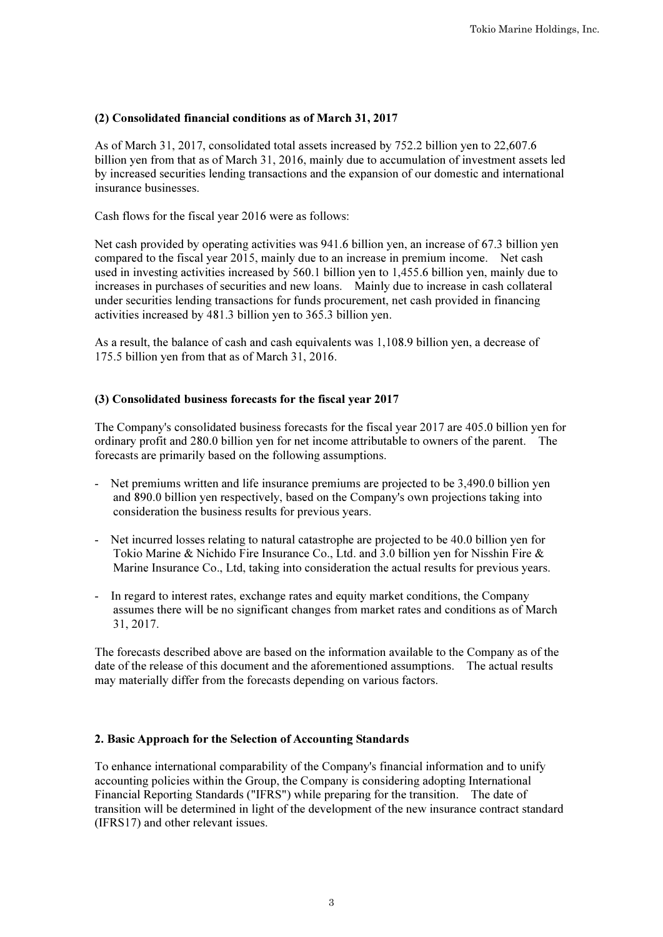# (2) Consolidated financial conditions as of March 31, 2017

As of March 31, 2017, consolidated total assets increased by 752.2 billion yen to 22,607.6 billion yen from that as of March 31, 2016, mainly due to accumulation of investment assets led by increased securities lending transactions and the expansion of our domestic and international insurance businesses.

Cash flows for the fiscal year 2016 were as follows:

Net cash provided by operating activities was 941.6 billion yen, an increase of 67.3 billion yen compared to the fiscal year 2015, mainly due to an increase in premium income. Net cash used in investing activities increased by 560.1 billion yen to 1,455.6 billion yen, mainly due to increases in purchases of securities and new loans. Mainly due to increase in cash collateral under securities lending transactions for funds procurement, net cash provided in financing activities increased by 481.3 billion yen to 365.3 billion yen.

As a result, the balance of cash and cash equivalents was 1,108.9 billion yen, a decrease of 175.5 billion yen from that as of March 31, 2016.

## (3) Consolidated business forecasts for the fiscal year 2017

The Company's consolidated business forecasts for the fiscal year 2017 are 405.0 billion yen for ordinary profit and 280.0 billion yen for net income attributable to owners of the parent. The forecasts are primarily based on the following assumptions.

- Net premiums written and life insurance premiums are projected to be 3,490.0 billion yen and 890.0 billion yen respectively, based on the Company's own projections taking into consideration the business results for previous years.
- Net incurred losses relating to natural catastrophe are projected to be 40.0 billion yen for Tokio Marine & Nichido Fire Insurance Co., Ltd. and 3.0 billion yen for Nisshin Fire & Marine Insurance Co., Ltd, taking into consideration the actual results for previous years.
- In regard to interest rates, exchange rates and equity market conditions, the Company assumes there will be no significant changes from market rates and conditions as of March 31, 2017.

The forecasts described above are based on the information available to the Company as of the date of the release of this document and the aforementioned assumptions. The actual results may materially differ from the forecasts depending on various factors.

## 2. Basic Approach for the Selection of Accounting Standards

To enhance international comparability of the Company's financial information and to unify accounting policies within the Group, the Company is considering adopting International Financial Reporting Standards ("IFRS") while preparing for the transition. The date of transition will be determined in light of the development of the new insurance contract standard (IFRS17) and other relevant issues.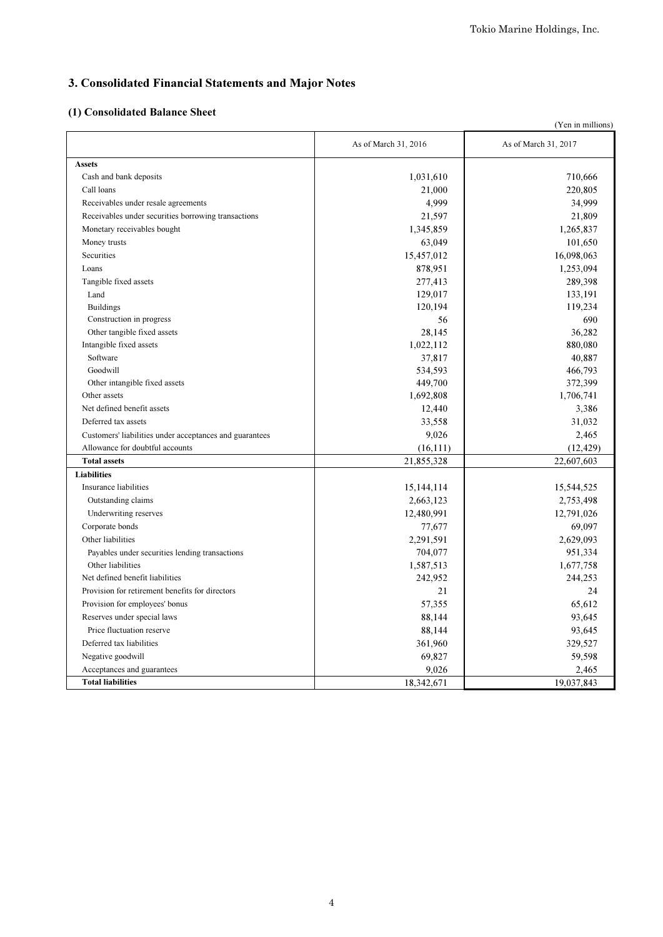# 3. Consolidated Financial Statements and Major Notes

# (1) Consolidated Balance Sheet

| (Yen in millions)                                       |                      |                      |  |  |
|---------------------------------------------------------|----------------------|----------------------|--|--|
|                                                         | As of March 31, 2016 | As of March 31, 2017 |  |  |
| <b>Assets</b>                                           |                      |                      |  |  |
| Cash and bank deposits                                  | 1,031,610            | 710,666              |  |  |
| Call loans                                              | 21,000               | 220,805              |  |  |
| Receivables under resale agreements                     | 4,999                | 34,999               |  |  |
| Receivables under securities borrowing transactions     | 21,597               | 21,809               |  |  |
| Monetary receivables bought                             | 1,345,859            | 1,265,837            |  |  |
| Money trusts                                            | 63,049               | 101,650              |  |  |
| Securities                                              | 15,457,012           | 16,098,063           |  |  |
| Loans                                                   | 878,951              | 1,253,094            |  |  |
| Tangible fixed assets                                   | 277,413              | 289,398              |  |  |
| Land                                                    | 129,017              | 133,191              |  |  |
| <b>Buildings</b>                                        | 120,194              | 119,234              |  |  |
| Construction in progress                                | 56                   | 690                  |  |  |
| Other tangible fixed assets                             | 28,145               | 36,282               |  |  |
| Intangible fixed assets                                 | 1,022,112            | 880,080              |  |  |
| Software                                                | 37,817               | 40,887               |  |  |
| Goodwill                                                | 534,593              | 466,793              |  |  |
| Other intangible fixed assets                           | 449,700              | 372,399              |  |  |
| Other assets                                            | 1,692,808            | 1,706,741            |  |  |
| Net defined benefit assets                              | 12,440               | 3.386                |  |  |
| Deferred tax assets                                     | 33,558               | 31,032               |  |  |
| Customers' liabilities under acceptances and guarantees | 9,026                | 2,465                |  |  |
| Allowance for doubtful accounts                         | (16,111)             | (12, 429)            |  |  |
| <b>Total assets</b>                                     | 21,855,328           | 22,607,603           |  |  |
| <b>Liabilities</b>                                      |                      |                      |  |  |
| Insurance liabilities                                   | 15, 144, 114         | 15,544,525           |  |  |
| Outstanding claims                                      | 2,663,123            | 2,753,498            |  |  |
| Underwriting reserves                                   | 12,480,991           | 12,791,026           |  |  |
| Corporate bonds                                         | 77,677               | 69,097               |  |  |
| Other liabilities                                       | 2,291,591            | 2,629,093            |  |  |
| Payables under securities lending transactions          | 704,077              | 951,334              |  |  |
| Other liabilities                                       | 1,587,513            | 1,677,758            |  |  |
| Net defined benefit liabilities                         | 242,952              | 244,253              |  |  |
| Provision for retirement benefits for directors         | 21                   | 24                   |  |  |
| Provision for employees' bonus                          | 57,355               | 65,612               |  |  |
| Reserves under special laws                             | 88,144               | 93,645               |  |  |
| Price fluctuation reserve                               | 88,144               | 93,645               |  |  |
| Deferred tax liabilities                                | 361,960              | 329,527              |  |  |
| Negative goodwill                                       | 69,827               | 59,598               |  |  |
| Acceptances and guarantees                              | 9,026                | 2,465                |  |  |
| <b>Total liabilities</b>                                | 18,342,671           | 19,037,843           |  |  |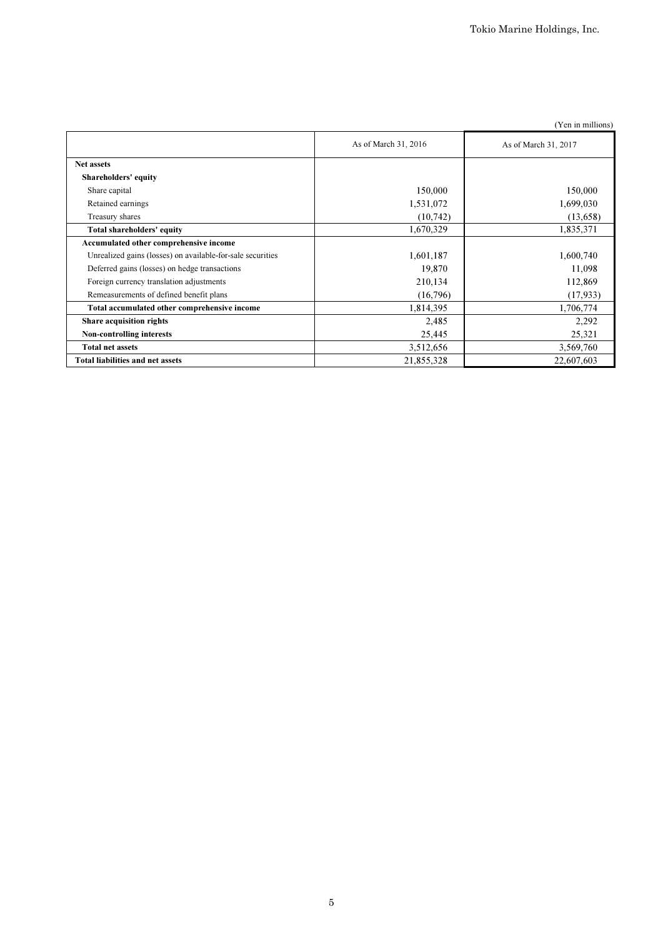|                                                            |                      | (Yen in millions)    |
|------------------------------------------------------------|----------------------|----------------------|
|                                                            | As of March 31, 2016 | As of March 31, 2017 |
| <b>Net assets</b>                                          |                      |                      |
| <b>Shareholders' equity</b>                                |                      |                      |
| Share capital                                              | 150,000              | 150,000              |
| Retained earnings                                          | 1,531,072            | 1,699,030            |
| Treasury shares                                            | (10,742)             | (13,658)             |
| Total shareholders' equity                                 | 1,670,329            | 1,835,371            |
| Accumulated other comprehensive income                     |                      |                      |
| Unrealized gains (losses) on available-for-sale securities | 1,601,187            | 1,600,740            |
| Deferred gains (losses) on hedge transactions              | 19,870               | 11,098               |
| Foreign currency translation adjustments                   | 210,134              | 112,869              |
| Remeasurements of defined benefit plans                    | (16,796)             | (17,933)             |
| Total accumulated other comprehensive income               | 1,814,395            | 1,706,774            |
| Share acquisition rights                                   | 2,485                | 2,292                |
| <b>Non-controlling interests</b>                           | 25,445               | 25,321               |
| <b>Total net assets</b>                                    | 3,512,656            | 3,569,760            |
| <b>Total liabilities and net assets</b>                    | 21,855,328           | 22,607,603           |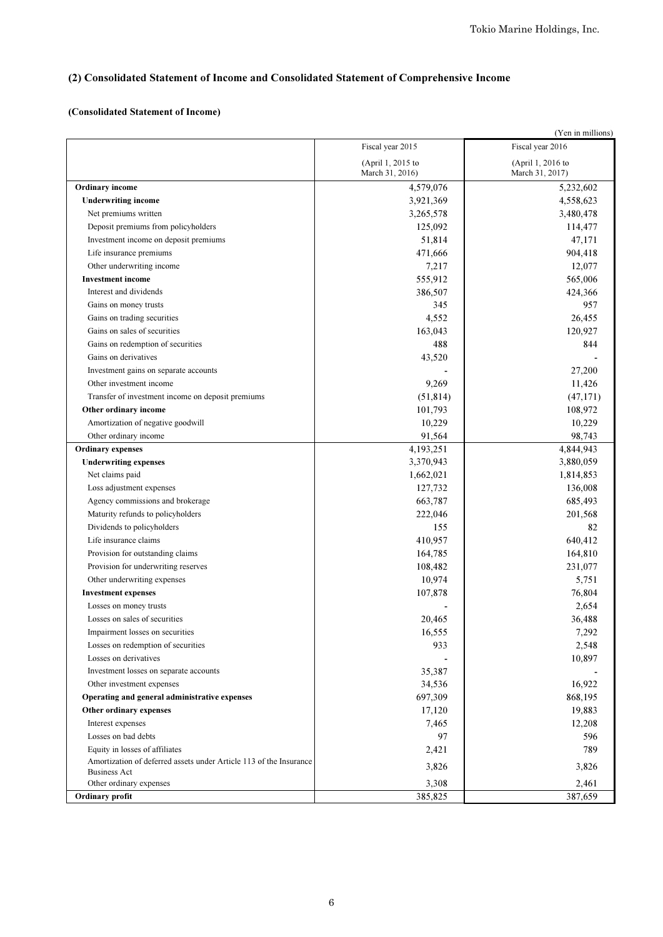# (2) Consolidated Statement of Income and Consolidated Statement of Comprehensive Income

#### (Consolidated Statement of Income)

|                                                                                           |                                      | (Yen in millions)                    |
|-------------------------------------------------------------------------------------------|--------------------------------------|--------------------------------------|
|                                                                                           | Fiscal year 2015                     | Fiscal year 2016                     |
|                                                                                           | (April 1, 2015 to<br>March 31, 2016) | (April 1, 2016 to<br>March 31, 2017) |
| <b>Ordinary</b> income                                                                    | 4,579,076                            | 5,232,602                            |
| <b>Underwriting income</b>                                                                | 3,921,369                            | 4,558,623                            |
| Net premiums written                                                                      | 3,265,578                            | 3,480,478                            |
| Deposit premiums from policyholders                                                       | 125,092                              | 114,477                              |
| Investment income on deposit premiums                                                     | 51,814                               | 47,171                               |
| Life insurance premiums                                                                   | 471,666                              | 904,418                              |
| Other underwriting income                                                                 | 7,217                                | 12,077                               |
| <b>Investment income</b>                                                                  | 555,912                              | 565,006                              |
| Interest and dividends                                                                    | 386,507                              | 424,366                              |
| Gains on money trusts                                                                     | 345                                  | 957                                  |
| Gains on trading securities                                                               | 4,552                                | 26,455                               |
| Gains on sales of securities                                                              | 163,043                              | 120,927                              |
| Gains on redemption of securities                                                         | 488                                  | 844                                  |
| Gains on derivatives                                                                      | 43,520                               |                                      |
| Investment gains on separate accounts                                                     |                                      | 27,200                               |
| Other investment income                                                                   | 9,269                                | 11,426                               |
| Transfer of investment income on deposit premiums                                         | (51, 814)                            | (47, 171)                            |
| Other ordinary income                                                                     | 101,793                              | 108,972                              |
| Amortization of negative goodwill                                                         | 10,229                               | 10,229                               |
| Other ordinary income                                                                     | 91,564                               | 98,743                               |
| <b>Ordinary expenses</b>                                                                  | 4,193,251                            | 4,844,943                            |
| <b>Underwriting expenses</b>                                                              | 3,370,943                            | 3,880,059                            |
| Net claims paid                                                                           | 1,662,021                            | 1,814,853                            |
| Loss adjustment expenses                                                                  | 127,732                              | 136,008                              |
| Agency commissions and brokerage                                                          | 663,787                              | 685,493                              |
| Maturity refunds to policyholders                                                         | 222,046                              | 201,568                              |
| Dividends to policyholders                                                                | 155                                  | 82                                   |
| Life insurance claims                                                                     | 410,957                              | 640,412                              |
| Provision for outstanding claims                                                          | 164,785                              | 164,810                              |
| Provision for underwriting reserves                                                       | 108,482                              | 231,077                              |
| Other underwriting expenses                                                               | 10,974                               | 5,751                                |
| <b>Investment expenses</b>                                                                | 107,878                              | 76,804                               |
| Losses on money trusts                                                                    |                                      | 2,654                                |
| Losses on sales of securities                                                             | 20,465                               | 36,488                               |
| Impairment losses on securities                                                           | 16,555                               | 7,292                                |
| Losses on redemption of securities                                                        | 933                                  | 2,548                                |
| Losses on derivatives                                                                     |                                      | 10,897                               |
| Investment losses on separate accounts                                                    | 35,387                               |                                      |
| Other investment expenses                                                                 | 34,536                               | 16,922                               |
| Operating and general administrative expenses                                             | 697,309                              | 868,195                              |
| Other ordinary expenses                                                                   | 17,120                               | 19,883                               |
| Interest expenses                                                                         | 7,465                                | 12,208                               |
| Losses on bad debts                                                                       | 97                                   | 596                                  |
| Equity in losses of affiliates                                                            | 2,421                                | 789                                  |
| Amortization of deferred assets under Article 113 of the Insurance<br><b>Business Act</b> | 3,826                                | 3,826                                |
| Other ordinary expenses                                                                   | 3,308                                | 2,461                                |
| Ordinary profit                                                                           | 385,825                              | 387,659                              |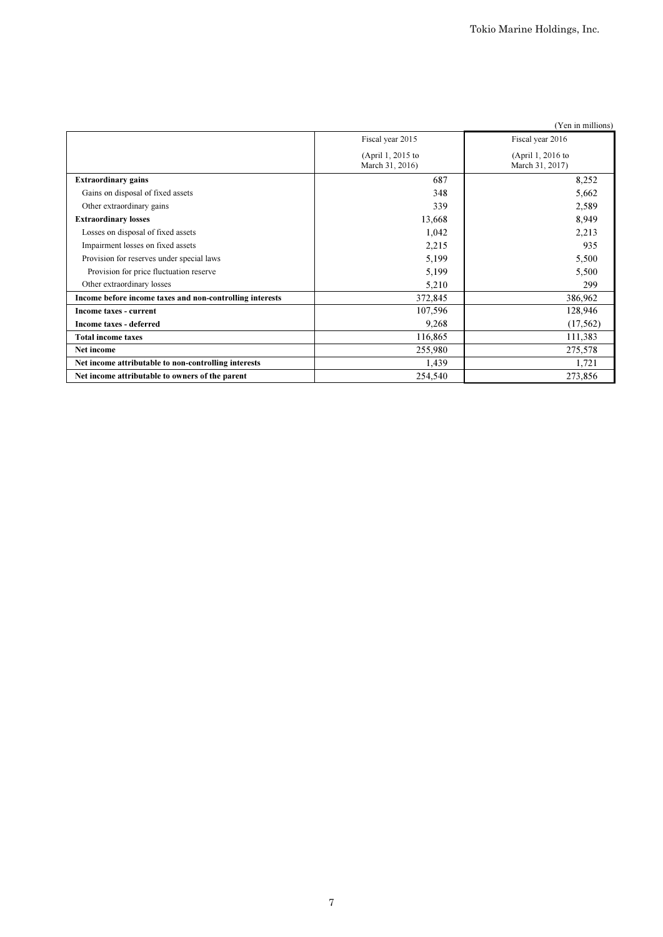| (Yen in millions)                                        |                                      |                                      |  |  |  |
|----------------------------------------------------------|--------------------------------------|--------------------------------------|--|--|--|
|                                                          | Fiscal year 2015                     | Fiscal year 2016                     |  |  |  |
|                                                          | (April 1, 2015 to<br>March 31, 2016) | (April 1, 2016 to<br>March 31, 2017) |  |  |  |
| <b>Extraordinary gains</b>                               | 687                                  | 8,252                                |  |  |  |
| Gains on disposal of fixed assets                        | 348                                  | 5,662                                |  |  |  |
| Other extraordinary gains                                | 339                                  | 2,589                                |  |  |  |
| <b>Extraordinary losses</b>                              | 13,668                               | 8,949                                |  |  |  |
| Losses on disposal of fixed assets                       | 1,042                                | 2,213                                |  |  |  |
| Impairment losses on fixed assets                        | 2,215                                | 935                                  |  |  |  |
| Provision for reserves under special laws                | 5,199                                | 5,500                                |  |  |  |
| Provision for price fluctuation reserve                  | 5,199                                | 5,500                                |  |  |  |
| Other extraordinary losses                               | 5,210                                | 299                                  |  |  |  |
| Income before income taxes and non-controlling interests | 372,845                              | 386,962                              |  |  |  |
| Income taxes - current                                   | 107,596                              | 128,946                              |  |  |  |
| Income taxes - deferred                                  | 9,268                                | (17, 562)                            |  |  |  |
| <b>Total income taxes</b>                                | 116,865                              | 111,383                              |  |  |  |
| Net income                                               | 255,980                              | 275,578                              |  |  |  |
| Net income attributable to non-controlling interests     | 1,439                                | 1,721                                |  |  |  |
| Net income attributable to owners of the parent          | 254,540                              | 273,856                              |  |  |  |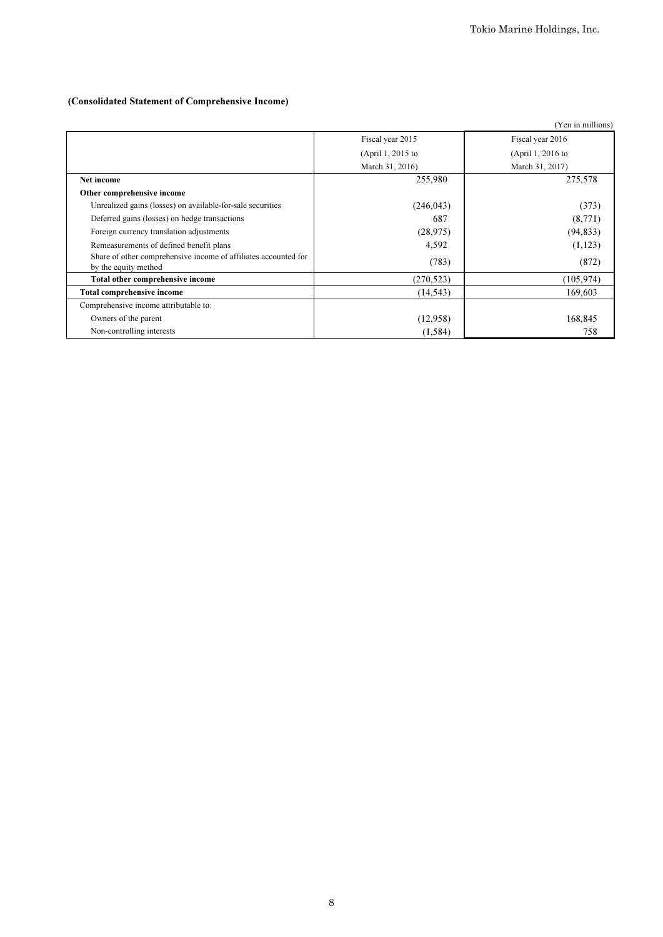# (Consolidated Statement of Comprehensive Income)

|                                                                                         |                   | (Yen in millions) |
|-----------------------------------------------------------------------------------------|-------------------|-------------------|
|                                                                                         | Fiscal year 2015  | Fiscal year 2016  |
|                                                                                         | (April 1, 2015 to | (April 1, 2016 to |
|                                                                                         | March 31, 2016)   | March 31, 2017)   |
| Net income                                                                              | 255,980           | 275,578           |
| Other comprehensive income                                                              |                   |                   |
| Unrealized gains (losses) on available-for-sale securities                              | (246, 043)        | (373)             |
| Deferred gains (losses) on hedge transactions                                           | 687               | (8,771)           |
| Foreign currency translation adjustments                                                | (28, 975)         | (94, 833)         |
| Remeasurements of defined benefit plans                                                 | 4,592             | (1,123)           |
| Share of other comprehensive income of affiliates accounted for<br>by the equity method | (783)             | (872)             |
| Total other comprehensive income                                                        | (270, 523)        | (105, 974)        |
| <b>Total comprehensive income</b>                                                       | (14, 543)         | 169,603           |
| Comprehensive income attributable to:                                                   |                   |                   |
| Owners of the parent                                                                    | (12,958)          | 168,845           |
| Non-controlling interests                                                               | (1, 584)          | 758               |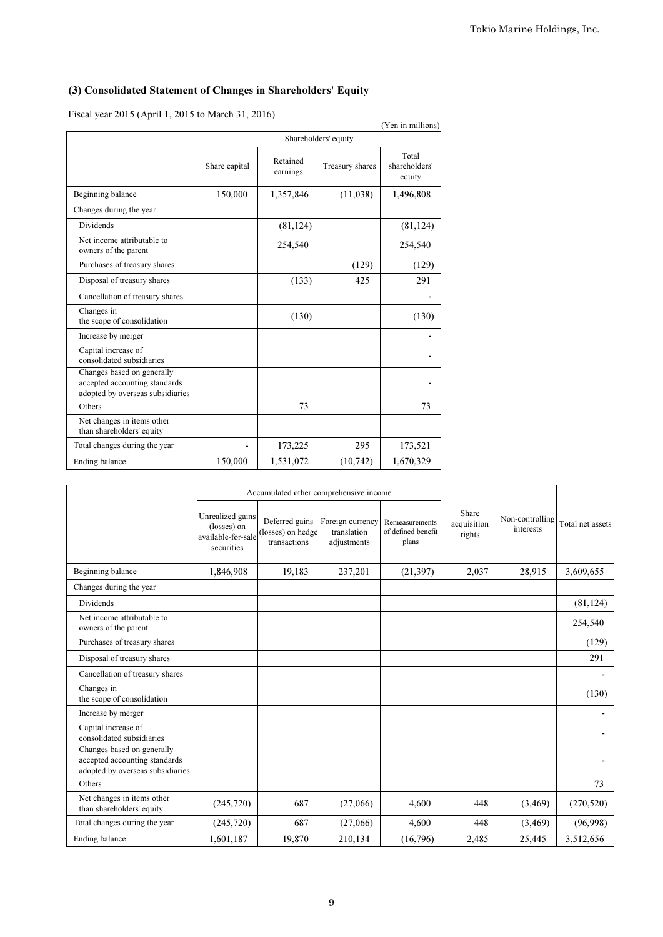# (3) Consolidated Statement of Changes in Shareholders' Equity

Fiscal year 2015 (April 1, 2015 to March 31, 2016)

| $1.58a$ year 2015 (Tip II 1, 2015 to march 31, 2010)                                            |               |                      |                 | (Yen in millions)                |  |  |
|-------------------------------------------------------------------------------------------------|---------------|----------------------|-----------------|----------------------------------|--|--|
|                                                                                                 |               | Shareholders' equity |                 |                                  |  |  |
|                                                                                                 | Share capital | Retained<br>earnings | Treasury shares | Total<br>shareholders'<br>equity |  |  |
| Beginning balance                                                                               | 150,000       | 1,357,846            | (11,038)        | 1,496,808                        |  |  |
| Changes during the year                                                                         |               |                      |                 |                                  |  |  |
| <b>Dividends</b>                                                                                |               | (81, 124)            |                 | (81, 124)                        |  |  |
| Net income attributable to<br>owners of the parent                                              |               | 254,540              |                 | 254,540                          |  |  |
| Purchases of treasury shares                                                                    |               |                      | (129)           | (129)                            |  |  |
| Disposal of treasury shares                                                                     |               | (133)                | 425             | 291                              |  |  |
| Cancellation of treasury shares                                                                 |               |                      |                 |                                  |  |  |
| Changes in<br>the scope of consolidation                                                        |               | (130)                |                 | (130)                            |  |  |
| Increase by merger                                                                              |               |                      |                 |                                  |  |  |
| Capital increase of<br>consolidated subsidiaries                                                |               |                      |                 |                                  |  |  |
| Changes based on generally<br>accepted accounting standards<br>adopted by overseas subsidiaries |               |                      |                 |                                  |  |  |
| Others                                                                                          |               | 73                   |                 | 73                               |  |  |
| Net changes in items other<br>than shareholders' equity                                         |               |                      |                 |                                  |  |  |
| Total changes during the year                                                                   |               | 173,225              | 295             | 173,521                          |  |  |
| Ending balance                                                                                  | 150,000       | 1,531,072            | (10, 742)       | 1,670,329                        |  |  |

|                                                                                                 | Accumulated other comprehensive income                              |                                                     |                                                |                                               |                                |                              |                          |
|-------------------------------------------------------------------------------------------------|---------------------------------------------------------------------|-----------------------------------------------------|------------------------------------------------|-----------------------------------------------|--------------------------------|------------------------------|--------------------------|
|                                                                                                 | Unrealized gains<br>(losses) on<br>available-for-sale<br>securities | Deferred gains<br>(losses) on hedge<br>transactions | Foreign currency<br>translation<br>adjustments | Remeasurements<br>of defined benefit<br>plans | Share<br>acquisition<br>rights | Non-controlling<br>interests | Total net assets         |
| Beginning balance                                                                               | 1,846,908                                                           | 19,183                                              | 237,201                                        | (21, 397)                                     | 2,037                          | 28,915                       | 3,609,655                |
| Changes during the year                                                                         |                                                                     |                                                     |                                                |                                               |                                |                              |                          |
| <b>Dividends</b>                                                                                |                                                                     |                                                     |                                                |                                               |                                |                              | (81, 124)                |
| Net income attributable to<br>owners of the parent                                              |                                                                     |                                                     |                                                |                                               |                                |                              | 254,540                  |
| Purchases of treasury shares                                                                    |                                                                     |                                                     |                                                |                                               |                                |                              | (129)                    |
| Disposal of treasury shares                                                                     |                                                                     |                                                     |                                                |                                               |                                |                              | 291                      |
| Cancellation of treasury shares                                                                 |                                                                     |                                                     |                                                |                                               |                                |                              | ۰.                       |
| Changes in<br>the scope of consolidation                                                        |                                                                     |                                                     |                                                |                                               |                                |                              | (130)                    |
| Increase by merger                                                                              |                                                                     |                                                     |                                                |                                               |                                |                              | $\overline{\phantom{0}}$ |
| Capital increase of<br>consolidated subsidiaries                                                |                                                                     |                                                     |                                                |                                               |                                |                              |                          |
| Changes based on generally<br>accepted accounting standards<br>adopted by overseas subsidiaries |                                                                     |                                                     |                                                |                                               |                                |                              |                          |
| Others                                                                                          |                                                                     |                                                     |                                                |                                               |                                |                              | 73                       |
| Net changes in items other<br>than shareholders' equity                                         | (245, 720)                                                          | 687                                                 | (27,066)                                       | 4,600                                         | 448                            | (3, 469)                     | (270, 520)               |
| Total changes during the year                                                                   | (245, 720)                                                          | 687                                                 | (27,066)                                       | 4,600                                         | 448                            | (3, 469)                     | (96,998)                 |
| Ending balance                                                                                  | 1,601,187                                                           | 19,870                                              | 210,134                                        | (16,796)                                      | 2,485                          | 25,445                       | 3,512,656                |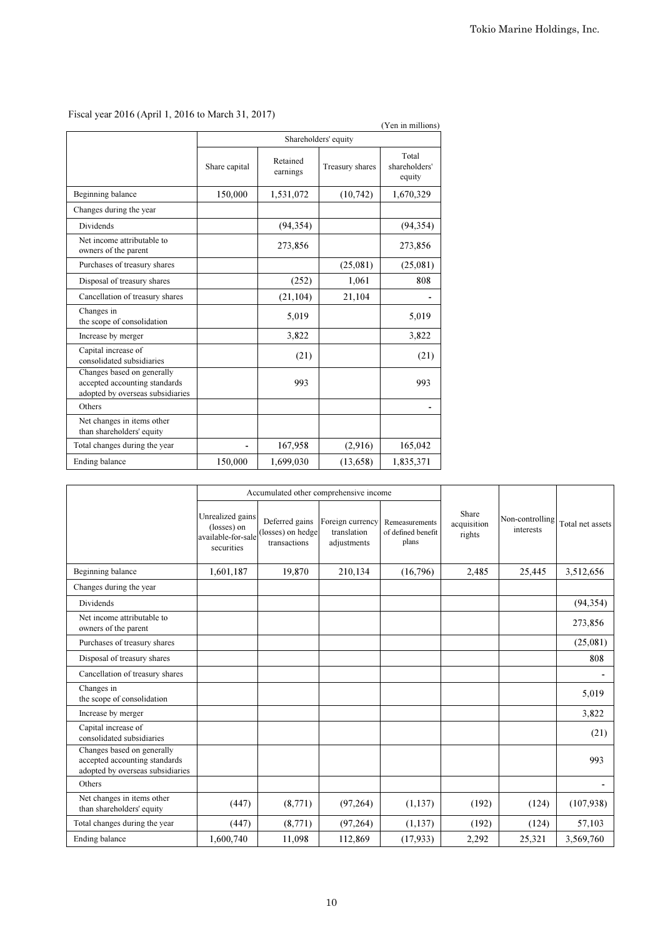|                                                                                                 |                      |                      |                 | (Yen in millions)                |  |
|-------------------------------------------------------------------------------------------------|----------------------|----------------------|-----------------|----------------------------------|--|
|                                                                                                 | Shareholders' equity |                      |                 |                                  |  |
|                                                                                                 | Share capital        | Retained<br>earnings | Treasury shares | Total<br>shareholders'<br>equity |  |
| Beginning balance                                                                               | 150,000              | 1,531,072            | (10, 742)       | 1,670,329                        |  |
| Changes during the year                                                                         |                      |                      |                 |                                  |  |
| <b>Dividends</b>                                                                                |                      | (94, 354)            |                 | (94, 354)                        |  |
| Net income attributable to<br>owners of the parent                                              |                      | 273,856              |                 | 273,856                          |  |
| Purchases of treasury shares                                                                    |                      |                      | (25,081)        | (25,081)                         |  |
| Disposal of treasury shares                                                                     |                      | (252)                | 1,061           | 808                              |  |
| Cancellation of treasury shares                                                                 |                      | (21, 104)            | 21,104          |                                  |  |
| Changes in<br>the scope of consolidation                                                        |                      | 5,019                |                 | 5,019                            |  |
| Increase by merger                                                                              |                      | 3,822                |                 | 3,822                            |  |
| Capital increase of<br>consolidated subsidiaries                                                |                      | (21)                 |                 | (21)                             |  |
| Changes based on generally<br>accepted accounting standards<br>adopted by overseas subsidiaries |                      | 993                  |                 | 993                              |  |
| Others                                                                                          |                      |                      |                 |                                  |  |
| Net changes in items other<br>than shareholders' equity                                         |                      |                      |                 |                                  |  |
| Total changes during the year                                                                   |                      | 167,958              | (2,916)         | 165,042                          |  |
| Ending balance                                                                                  | 150,000              | 1,699,030            | (13, 658)       | 1,835,371                        |  |

# Fiscal year 2016 (April 1, 2016 to March 31, 2017)

|                                                                                                 |                                                                     |                                                     | Accumulated other comprehensive income         |                                               |                                |                              |                  |
|-------------------------------------------------------------------------------------------------|---------------------------------------------------------------------|-----------------------------------------------------|------------------------------------------------|-----------------------------------------------|--------------------------------|------------------------------|------------------|
|                                                                                                 | Unrealized gains<br>(losses) on<br>available-for-sale<br>securities | Deferred gains<br>(losses) on hedge<br>transactions | Foreign currency<br>translation<br>adjustments | Remeasurements<br>of defined benefit<br>plans | Share<br>acquisition<br>rights | Non-controlling<br>interests | Total net assets |
| Beginning balance                                                                               | 1,601,187                                                           | 19,870                                              | 210,134                                        | (16,796)                                      | 2,485                          | 25,445                       | 3,512,656        |
| Changes during the year                                                                         |                                                                     |                                                     |                                                |                                               |                                |                              |                  |
| Dividends                                                                                       |                                                                     |                                                     |                                                |                                               |                                |                              | (94, 354)        |
| Net income attributable to<br>owners of the parent                                              |                                                                     |                                                     |                                                |                                               |                                |                              | 273,856          |
| Purchases of treasury shares                                                                    |                                                                     |                                                     |                                                |                                               |                                |                              | (25,081)         |
| Disposal of treasury shares                                                                     |                                                                     |                                                     |                                                |                                               |                                |                              | 808              |
| Cancellation of treasury shares                                                                 |                                                                     |                                                     |                                                |                                               |                                |                              |                  |
| Changes in<br>the scope of consolidation                                                        |                                                                     |                                                     |                                                |                                               |                                |                              | 5,019            |
| Increase by merger                                                                              |                                                                     |                                                     |                                                |                                               |                                |                              | 3,822            |
| Capital increase of<br>consolidated subsidiaries                                                |                                                                     |                                                     |                                                |                                               |                                |                              | (21)             |
| Changes based on generally<br>accepted accounting standards<br>adopted by overseas subsidiaries |                                                                     |                                                     |                                                |                                               |                                |                              | 993              |
| Others                                                                                          |                                                                     |                                                     |                                                |                                               |                                |                              |                  |
| Net changes in items other<br>than shareholders' equity                                         | (447)                                                               | (8,771)                                             | (97, 264)                                      | (1, 137)                                      | (192)                          | (124)                        | (107,938)        |
| Total changes during the year                                                                   | (447)                                                               | (8, 771)                                            | (97,264)                                       | (1, 137)                                      | (192)                          | (124)                        | 57,103           |
| Ending balance                                                                                  | 1,600,740                                                           | 11,098                                              | 112,869                                        | (17, 933)                                     | 2,292                          | 25,321                       | 3,569,760        |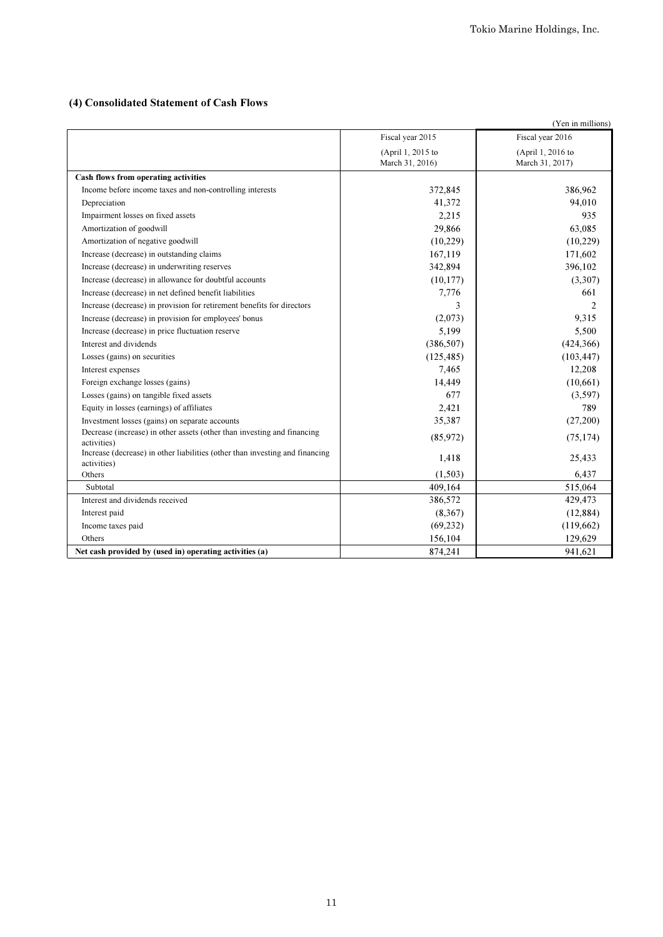# (4) Consolidated Statement of Cash Flows

|                                                                                             |                   | (Yen in millions) |
|---------------------------------------------------------------------------------------------|-------------------|-------------------|
|                                                                                             | Fiscal year 2015  | Fiscal year 2016  |
|                                                                                             | (April 1, 2015 to | (April 1, 2016 to |
|                                                                                             | March 31, 2016)   | March 31, 2017)   |
| Cash flows from operating activities                                                        |                   |                   |
| Income before income taxes and non-controlling interests                                    | 372,845           | 386,962           |
| Depreciation                                                                                | 41,372            | 94,010            |
| Impairment losses on fixed assets                                                           | 2,215             | 935               |
| Amortization of goodwill                                                                    | 29,866            | 63,085            |
| Amortization of negative goodwill                                                           | (10,229)          | (10,229)          |
| Increase (decrease) in outstanding claims                                                   | 167,119           | 171,602           |
| Increase (decrease) in underwriting reserves                                                | 342,894           | 396,102           |
| Increase (decrease) in allowance for doubtful accounts                                      | (10, 177)         | (3,307)           |
| Increase (decrease) in net defined benefit liabilities                                      | 7,776             | 661               |
| Increase (decrease) in provision for retirement benefits for directors                      | 3                 | $\mathfrak{D}$    |
| Increase (decrease) in provision for employees' bonus                                       | (2,073)           | 9.315             |
| Increase (decrease) in price fluctuation reserve                                            | 5,199             | 5,500             |
| Interest and dividends                                                                      | (386, 507)        | (424, 366)        |
| Losses (gains) on securities                                                                | (125, 485)        | (103, 447)        |
| Interest expenses                                                                           | 7,465             | 12,208            |
| Foreign exchange losses (gains)                                                             | 14,449            | (10,661)          |
| Losses (gains) on tangible fixed assets                                                     | 677               | (3,597)           |
| Equity in losses (earnings) of affiliates                                                   | 2,421             | 789               |
| Investment losses (gains) on separate accounts                                              | 35,387            | (27,200)          |
| Decrease (increase) in other assets (other than investing and financing<br>activities)      | (85,972)          | (75, 174)         |
| Increase (decrease) in other liabilities (other than investing and financing<br>activities) | 1,418             | 25,433            |
| Others                                                                                      | (1.503)           | 6,437             |
| Subtotal                                                                                    | 409,164           | 515,064           |
| Interest and dividends received                                                             | 386,572           | 429,473           |
| Interest paid                                                                               | (8,367)           | (12, 884)         |
| Income taxes paid                                                                           | (69, 232)         | (119,662)         |
| Others                                                                                      | 156,104           | 129,629           |
| Net cash provided by (used in) operating activities (a)                                     | 874,241           | 941,621           |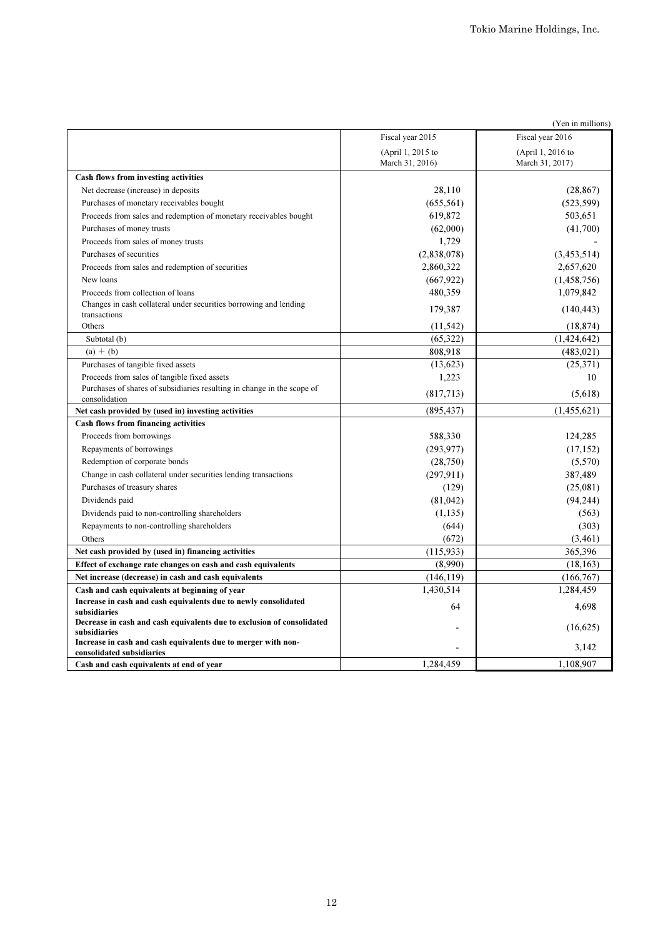| (Yen in millions)                                                                      |                                      |                                      |  |  |  |
|----------------------------------------------------------------------------------------|--------------------------------------|--------------------------------------|--|--|--|
|                                                                                        | Fiscal year 2015                     | Fiscal year 2016                     |  |  |  |
|                                                                                        | (April 1, 2015 to<br>March 31, 2016) | (April 1, 2016 to<br>March 31, 2017) |  |  |  |
| Cash flows from investing activities                                                   |                                      |                                      |  |  |  |
| Net decrease (increase) in deposits                                                    | 28,110                               | (28, 867)                            |  |  |  |
| Purchases of monetary receivables bought                                               | (655, 561)                           | (523, 599)                           |  |  |  |
| Proceeds from sales and redemption of monetary receivables bought                      | 619,872                              | 503,651                              |  |  |  |
| Purchases of money trusts                                                              | (62,000)                             | (41,700)                             |  |  |  |
| Proceeds from sales of money trusts                                                    | 1,729                                |                                      |  |  |  |
| Purchases of securities                                                                | (2,838,078)                          | (3,453,514)                          |  |  |  |
| Proceeds from sales and redemption of securities                                       | 2,860,322                            | 2,657,620                            |  |  |  |
| New loans                                                                              | (667, 922)                           | (1,458,756)                          |  |  |  |
| Proceeds from collection of loans                                                      | 480,359                              | 1,079,842                            |  |  |  |
| Changes in cash collateral under securities borrowing and lending                      | 179,387                              | (140, 443)                           |  |  |  |
| transactions<br>Others                                                                 | (11, 542)                            | (18, 874)                            |  |  |  |
| Subtotal (b)                                                                           | (65, 322)                            | (1, 424, 642)                        |  |  |  |
| $(a) + (b)$                                                                            | 808,918                              | (483, 021)                           |  |  |  |
|                                                                                        | (13,623)                             | (25,371)                             |  |  |  |
| Purchases of tangible fixed assets<br>Proceeds from sales of tangible fixed assets     | 1,223                                | 10                                   |  |  |  |
| Purchases of shares of subsidiaries resulting in change in the scope of                |                                      |                                      |  |  |  |
| consolidation                                                                          | (817,713)                            | (5,618)                              |  |  |  |
| Net cash provided by (used in) investing activities                                    | (895, 437)                           | (1,455,621)                          |  |  |  |
| Cash flows from financing activities                                                   |                                      |                                      |  |  |  |
| Proceeds from borrowings                                                               | 588,330                              | 124,285                              |  |  |  |
| Repayments of borrowings                                                               | (293, 977)                           | (17, 152)                            |  |  |  |
| Redemption of corporate bonds                                                          | (28,750)                             | (5,570)                              |  |  |  |
| Change in cash collateral under securities lending transactions                        | (297, 911)                           | 387,489                              |  |  |  |
| Purchases of treasury shares                                                           | (129)                                | (25,081)                             |  |  |  |
| Dividends paid                                                                         | (81, 042)                            | (94, 244)                            |  |  |  |
| Dividends paid to non-controlling shareholders                                         | (1,135)                              | (563)                                |  |  |  |
| Repayments to non-controlling shareholders                                             | (644)                                | (303)                                |  |  |  |
| Others                                                                                 | (672)                                | (3,461)                              |  |  |  |
| Net cash provided by (used in) financing activities                                    | (115, 933)                           | 365,396                              |  |  |  |
| Effect of exchange rate changes on cash and cash equivalents                           | (8,990)                              | (18, 163)                            |  |  |  |
| Net increase (decrease) in cash and cash equivalents                                   | (146, 119)                           | (166,767)                            |  |  |  |
| Cash and cash equivalents at beginning of year                                         | 1,430,514                            | 1,284,459                            |  |  |  |
| Increase in cash and cash equivalents due to newly consolidated                        | 64                                   | 4.698                                |  |  |  |
| subsidiaries                                                                           |                                      |                                      |  |  |  |
| Decrease in cash and cash equivalents due to exclusion of consolidated<br>subsidiaries |                                      | (16,625)                             |  |  |  |
| Increase in cash and cash equivalents due to merger with non-                          |                                      |                                      |  |  |  |
| consolidated subsidiaries                                                              |                                      | 3,142                                |  |  |  |
| Cash and cash equivalents at end of year                                               | 1,284,459                            | 1,108,907                            |  |  |  |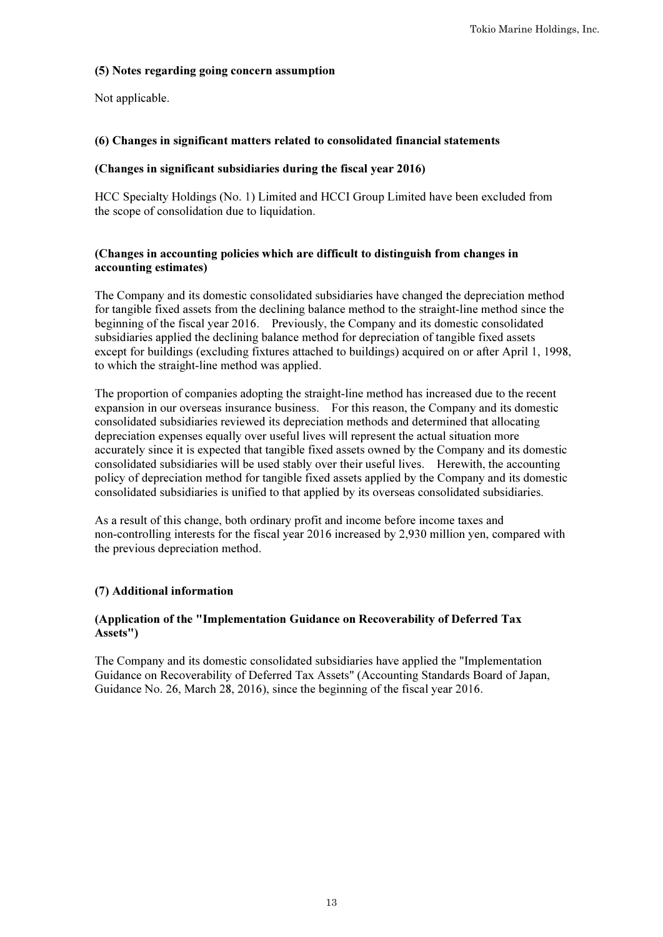# (5) Notes regarding going concern assumption

Not applicable.

# (6) Changes in significant matters related to consolidated financial statements

## (Changes in significant subsidiaries during the fiscal year 2016)

HCC Specialty Holdings (No. 1) Limited and HCCI Group Limited have been excluded from the scope of consolidation due to liquidation.

# (Changes in accounting policies which are difficult to distinguish from changes in accounting estimates)

The Company and its domestic consolidated subsidiaries have changed the depreciation method for tangible fixed assets from the declining balance method to the straight-line method since the beginning of the fiscal year 2016. Previously, the Company and its domestic consolidated subsidiaries applied the declining balance method for depreciation of tangible fixed assets except for buildings (excluding fixtures attached to buildings) acquired on or after April 1, 1998, to which the straight-line method was applied.

The proportion of companies adopting the straight-line method has increased due to the recent expansion in our overseas insurance business. For this reason, the Company and its domestic consolidated subsidiaries reviewed its depreciation methods and determined that allocating depreciation expenses equally over useful lives will represent the actual situation more accurately since it is expected that tangible fixed assets owned by the Company and its domestic consolidated subsidiaries will be used stably over their useful lives. Herewith, the accounting policy of depreciation method for tangible fixed assets applied by the Company and its domestic consolidated subsidiaries is unified to that applied by its overseas consolidated subsidiaries.

As a result of this change, both ordinary profit and income before income taxes and non-controlling interests for the fiscal year 2016 increased by 2,930 million yen, compared with the previous depreciation method.

# (7) Additional information

# (Application of the "Implementation Guidance on Recoverability of Deferred Tax Assets")

The Company and its domestic consolidated subsidiaries have applied the "Implementation Guidance on Recoverability of Deferred Tax Assets" (Accounting Standards Board of Japan, Guidance No. 26, March 28, 2016), since the beginning of the fiscal year 2016.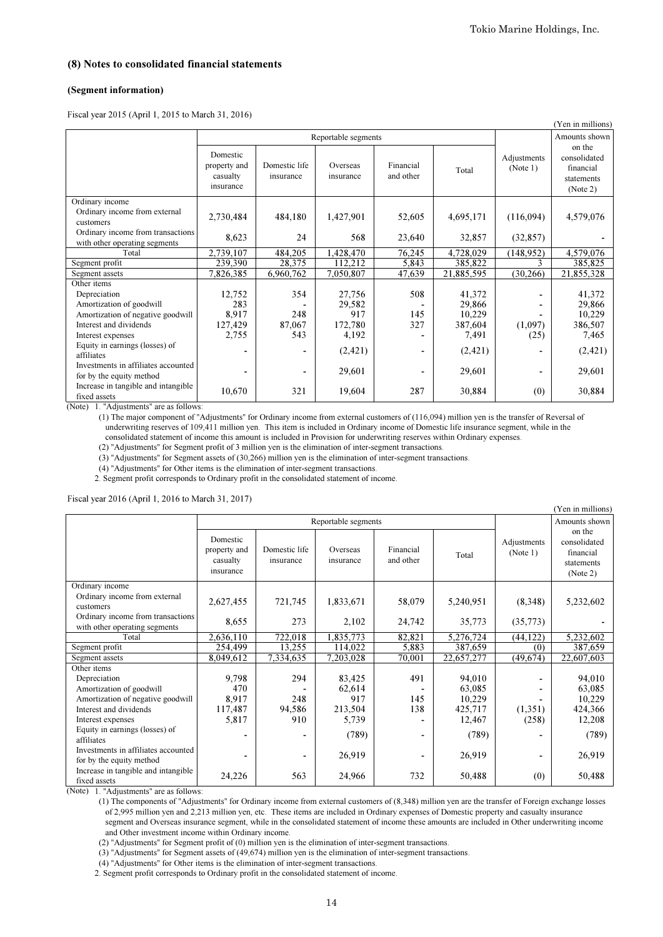#### (8) Notes to consolidated financial statements

#### (Segment information)

Fiscal year 2015 (April 1, 2015 to March 31, 2016)

|                                                                                                                          |                                                   |                            |                       |                        |            | (Yen in millions)       |                                                               |
|--------------------------------------------------------------------------------------------------------------------------|---------------------------------------------------|----------------------------|-----------------------|------------------------|------------|-------------------------|---------------------------------------------------------------|
|                                                                                                                          | Reportable segments                               |                            |                       |                        |            |                         | Amounts shown                                                 |
|                                                                                                                          | Domestic<br>property and<br>casualty<br>insurance | Domestic life<br>insurance | Overseas<br>insurance | Financial<br>and other | Total      | Adjustments<br>(Note 1) | on the<br>consolidated<br>financial<br>statements<br>(Note 2) |
| Ordinary income                                                                                                          |                                                   |                            |                       |                        |            |                         |                                                               |
| Ordinary income from external<br>customers                                                                               | 2,730,484                                         | 484,180                    | 1,427,901             | 52,605                 | 4,695,171  | (116,094)               | 4,579,076                                                     |
| Ordinary income from transactions<br>with other operating segments                                                       | 8.623                                             | 24                         | 568                   | 23,640                 | 32,857     | (32, 857)               |                                                               |
| Total                                                                                                                    | 2,739,107                                         | 484,205                    | 1,428,470             | 76,245                 | 4,728,029  | (148, 952)              | 4,579,076                                                     |
| Segment profit                                                                                                           | 239,390                                           | 28,375                     | 112.212               | 5,843                  | 385,822    |                         | 385,825                                                       |
| Segment assets                                                                                                           | 7,826,385                                         | 6,960,762                  | 7,050,807             | 47,639                 | 21,885,595 | (30, 266)               | 21,855,328                                                    |
| Other items                                                                                                              |                                                   |                            |                       |                        |            |                         |                                                               |
| Depreciation                                                                                                             | 12,752                                            | 354                        | 27,756                | 508                    | 41,372     |                         | 41,372                                                        |
| Amortization of goodwill                                                                                                 | 283                                               |                            | 29,582                |                        | 29,866     |                         | 29,866                                                        |
| Amortization of negative goodwill                                                                                        | 8.917                                             | 248                        | 917                   | 145                    | 10,229     |                         | 10,229                                                        |
| Interest and dividends                                                                                                   | 127,429                                           | 87,067                     | 172,780               | 327                    | 387,604    | (1,097)                 | 386,507                                                       |
| Interest expenses                                                                                                        | 2,755                                             | 543                        | 4,192                 |                        | 7,491      | (25)                    | 7,465                                                         |
| Equity in earnings (losses) of<br>affiliates                                                                             | -                                                 | $\blacksquare$             | (2,421)               |                        | (2, 421)   |                         | (2, 421)                                                      |
| Investments in affiliates accounted<br>for by the equity method                                                          | -                                                 | -                          | 29,601                |                        | 29,601     |                         | 29,601                                                        |
| Increase in tangible and intangible<br>fixed assets<br>$(N_{\alpha\uparrow\alpha})$ . The diverse entall are as follows: | 10,670                                            | 321                        | 19,604                | 287                    | 30,884     | (0)                     | 30,884                                                        |

(Note) 1. "Adjustments" are as follows:

 (1) The major component of "Adjustments" for Ordinary income from external customers of (116,094) million yen is the transfer of Reversal of underwriting reserves of 109,411 million yen. This item is included in Ordinary income of Domestic life insurance segment, while in the

consolidated statement of income this amount is included in Provision for underwriting reserves within Ordinary expenses.

(2) "Adjustments" for Segment profit of 3 million yen is the elimination of inter-segment transactions.

(3) "Adjustments" for Segment assets of (30,266) million yen is the elimination of inter-segment transactions.

(4) "Adjustments" for Other items is the elimination of inter-segment transactions.

2. Segment profit corresponds to Ordinary profit in the consolidated statement of income.

Fiscal year 2016 (April 1, 2016 to March 31, 2017)

| 1 <b>ISCal YCal</b> 2010 (April 1, 2010 to March 91, 2017)<br>(Yen in millions) |                                                   |                            |                       |                        |            |                         |                                                               |  |
|---------------------------------------------------------------------------------|---------------------------------------------------|----------------------------|-----------------------|------------------------|------------|-------------------------|---------------------------------------------------------------|--|
|                                                                                 |                                                   |                            | Reportable segments   |                        |            |                         | Amounts shown                                                 |  |
|                                                                                 | Domestic<br>property and<br>casualty<br>insurance | Domestic life<br>insurance | Overseas<br>insurance | Financial<br>and other | Total      | Adjustments<br>(Note 1) | on the<br>consolidated<br>financial<br>statements<br>(Note 2) |  |
| Ordinary income<br>Ordinary income from external<br>customers                   | 2,627,455                                         | 721,745                    | 1,833,671             | 58,079                 | 5,240,951  | (8,348)                 | 5,232,602                                                     |  |
| Ordinary income from transactions<br>with other operating segments              | 8,655                                             | 273                        | 2,102                 | 24,742                 | 35,773     | (35,773)                |                                                               |  |
| Total                                                                           | 2,636,110                                         | 722,018                    | 1,835,773             | 82,821                 | 5,276,724  | (44, 122)               | 5,232,602                                                     |  |
| Segment profit                                                                  | 254,499                                           | 13.255                     | 114,022               | 5,883                  | 387.659    | (0)                     | 387,659                                                       |  |
| Segment assets                                                                  | 8,049,612                                         | 7,334,635                  | 7,203,028             | 70,001                 | 22,657,277 | (49,674)                | 22,607,603                                                    |  |
| Other items                                                                     |                                                   |                            |                       |                        |            |                         |                                                               |  |
| Depreciation                                                                    | 9,798                                             | 294                        | 83,425                | 491                    | 94,010     |                         | 94,010                                                        |  |
| Amortization of goodwill                                                        | 470                                               |                            | 62,614                |                        | 63,085     |                         | 63,085                                                        |  |
| Amortization of negative goodwill                                               | 8.917                                             | 248                        | 917                   | 145                    | 10,229     |                         | 10,229                                                        |  |
| Interest and dividends                                                          | 117,487                                           | 94,586                     | 213,504               | 138                    | 425,717    | (1,351)                 | 424,366                                                       |  |
| Interest expenses                                                               | 5,817                                             | 910                        | 5,739                 |                        | 12,467     | (258)                   | 12,208                                                        |  |
| Equity in earnings (losses) of<br>affiliates                                    | -                                                 | ۰                          | (789)                 |                        | (789)      |                         | (789)                                                         |  |
| Investments in affiliates accounted<br>for by the equity method                 | ٠                                                 | ۰                          | 26,919                |                        | 26,919     |                         | 26,919                                                        |  |
| Increase in tangible and intangible<br>fixed assets                             | 24,226                                            | 563                        | 24,966                | 732                    | 50,488     | (0)                     | 50,488                                                        |  |

(Note) 1. "Adjustments" are as follows:

 of 2,995 million yen and 2,213 million yen, etc. These items are included in Ordinary expenses of Domestic property and casualty insurance segment and Overseas insurance segment, while in the consolidated statement of income these amounts are included in Other underwriting income (1) The components of "Adjustments" for Ordinary income from external customers of (8,348) million yen are the transfer of Foreign exchange losses

and Other investment income within Ordinary income.

(2) "Adjustments" for Segment profit of (0) million yen is the elimination of inter-segment transactions.

(3) "Adjustments" for Segment assets of (49,674) million yen is the elimination of inter-segment transactions.

(4) "Adjustments" for Other items is the elimination of inter-segment transactions.

2. Segment profit corresponds to Ordinary profit in the consolidated statement of income.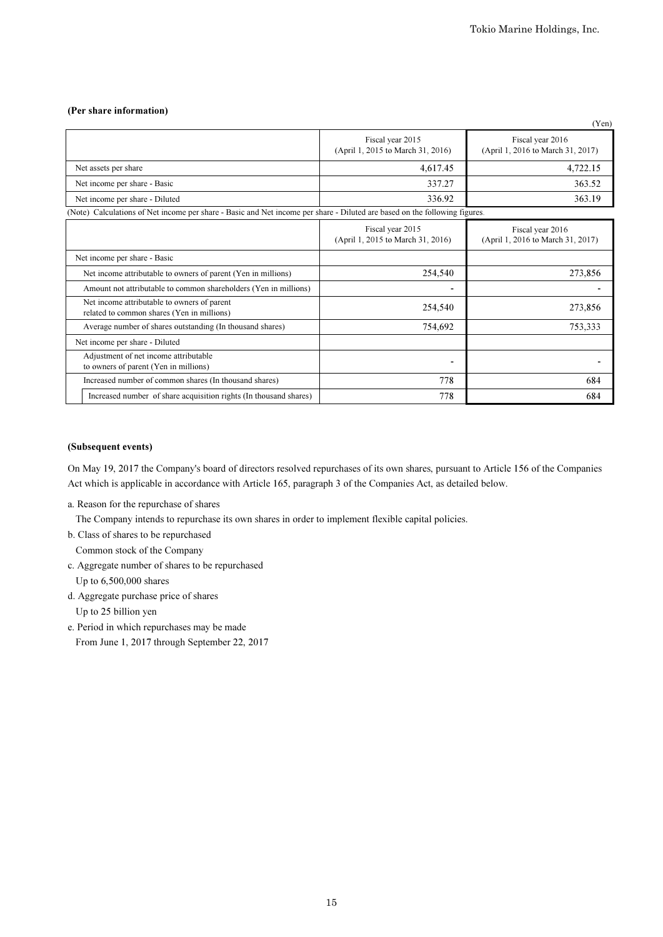#### (Per share information)

|                                                                                                                            |                                                       | (Yen)                                                 |
|----------------------------------------------------------------------------------------------------------------------------|-------------------------------------------------------|-------------------------------------------------------|
|                                                                                                                            | Fiscal year 2015<br>(April 1, 2015 to March 31, 2016) | Fiscal year 2016<br>(April 1, 2016 to March 31, 2017) |
| Net assets per share                                                                                                       | 4,617.45                                              | 4,722.15                                              |
| Net income per share - Basic                                                                                               | 337.27                                                | 363.52                                                |
| Net income per share - Diluted                                                                                             | 336.92                                                | 363.19                                                |
| (Note) Calculations of Net income per share - Basic and Net income per share - Diluted are based on the following figures. |                                                       |                                                       |
|                                                                                                                            | Fiscal year 2015<br>(April 1, 2015 to March 31, 2016) | Fiscal year 2016<br>(April 1, 2016 to March 31, 2017) |
| Net income per share - Basic                                                                                               |                                                       |                                                       |
| Net income attributable to owners of parent (Yen in millions)                                                              | 254,540                                               | 273,856                                               |
| Amount not attributable to common shareholders (Yen in millions)                                                           | ٠                                                     |                                                       |
| Net income attributable to owners of parent<br>related to common shares (Yen in millions)                                  | 254,540                                               | 273,856                                               |
| Average number of shares outstanding (In thousand shares)                                                                  | 754,692                                               | 753,333                                               |
| Net income per share - Diluted                                                                                             |                                                       |                                                       |
| Adjustment of net income attributable<br>to owners of parent (Yen in millions)                                             | $\blacksquare$                                        |                                                       |
| Increased number of common shares (In thousand shares)                                                                     | 778                                                   | 684                                                   |
| Increased number of share acquisition rights (In thousand shares)                                                          | 778                                                   | 684                                                   |

### (Subsequent events)

On May 19, 2017 the Company's board of directors resolved repurchases of its own shares, pursuant to Article 156 of the Companies Act which is applicable in accordance with Article 165, paragraph 3 of the Companies Act, as detailed below.

a. Reason for the repurchase of shares

The Company intends to repurchase its own shares in order to implement flexible capital policies.

b. Class of shares to be repurchased

Common stock of the Company

- c. Aggregate number of shares to be repurchased Up to 6,500,000 shares
- d. Aggregate purchase price of shares Up to 25 billion yen
- e. Period in which repurchases may be made
	- From June 1, 2017 through September 22, 2017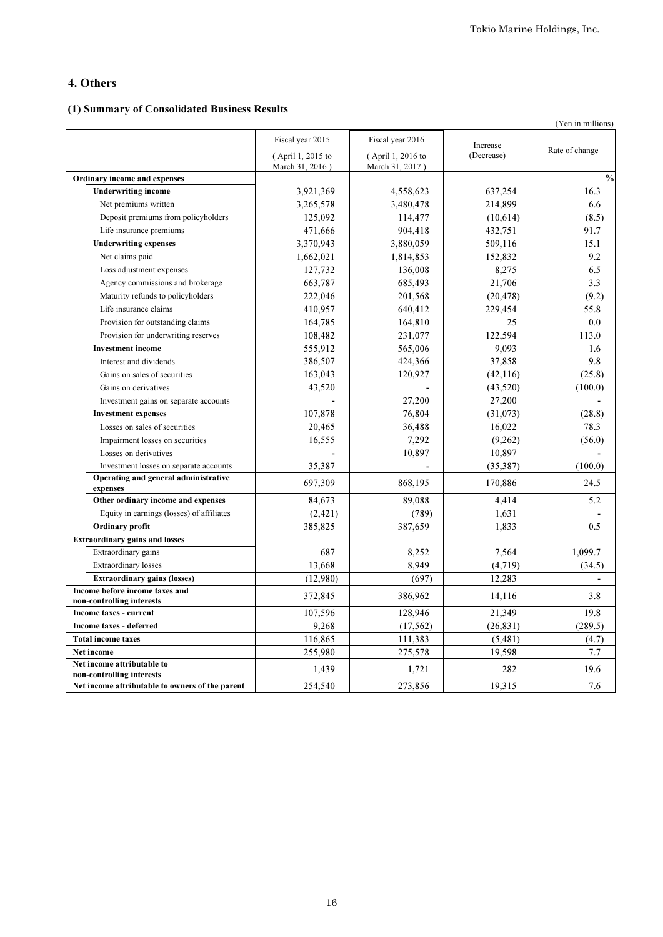# 4. Others

# (1) Summary of Consolidated Business Results

|                                                            |                                      |                                      |            | (Yen in millions) |
|------------------------------------------------------------|--------------------------------------|--------------------------------------|------------|-------------------|
|                                                            | Fiscal year 2015                     | Fiscal year 2016                     | Increase   |                   |
|                                                            | (April 1, 2015 to<br>March 31, 2016) | (April 1, 2016 to<br>March 31, 2017) | (Decrease) | Rate of change    |
| Ordinary income and expenses                               |                                      |                                      |            | $\frac{0}{0}$     |
| <b>Underwriting income</b>                                 | 3,921,369                            | 4,558,623                            | 637,254    | 16.3              |
| Net premiums written                                       | 3,265,578                            | 3,480,478                            | 214,899    | 6.6               |
| Deposit premiums from policyholders                        | 125,092                              | 114,477                              | (10,614)   | (8.5)             |
| Life insurance premiums                                    | 471,666                              | 904,418                              | 432,751    | 91.7              |
| <b>Underwriting expenses</b>                               | 3,370,943                            | 3,880,059                            | 509,116    | 15.1              |
| Net claims paid                                            | 1,662,021                            | 1,814,853                            | 152,832    | 9.2               |
| Loss adjustment expenses                                   | 127,732                              | 136,008                              | 8,275      | 6.5               |
| Agency commissions and brokerage                           | 663,787                              | 685,493                              | 21,706     | 3.3               |
| Maturity refunds to policyholders                          | 222,046                              | 201,568                              | (20, 478)  | (9.2)             |
| Life insurance claims                                      | 410,957                              | 640,412                              | 229,454    | 55.8              |
| Provision for outstanding claims                           | 164,785                              | 164,810                              | 25         | 0.0               |
| Provision for underwriting reserves                        | 108,482                              | 231,077                              | 122,594    | 113.0             |
| <b>Investment income</b>                                   | 555,912                              | 565,006                              | 9,093      | 1.6               |
| Interest and dividends                                     | 386,507                              | 424,366                              | 37,858     | 9.8               |
| Gains on sales of securities                               | 163,043                              | 120,927                              | (42, 116)  | (25.8)            |
| Gains on derivatives                                       | 43,520                               |                                      | (43,520)   | (100.0)           |
| Investment gains on separate accounts                      |                                      | 27,200                               | 27,200     |                   |
| <b>Investment expenses</b>                                 | 107,878                              | 76,804                               | (31,073)   | (28.8)            |
| Losses on sales of securities                              | 20,465                               | 36,488                               | 16,022     | 78.3              |
| Impairment losses on securities                            | 16,555                               | 7.292                                | (9,262)    | (56.0)            |
| Losses on derivatives                                      |                                      | 10,897                               | 10,897     |                   |
| Investment losses on separate accounts                     | 35,387                               |                                      | (35, 387)  | (100.0)           |
| Operating and general administrative<br>expenses           | 697,309                              | 868,195                              | 170,886    | 24.5              |
| Other ordinary income and expenses                         | 84,673                               | 89.088                               | 4,414      | 5.2               |
| Equity in earnings (losses) of affiliates                  | (2, 421)                             | (789)                                | 1,631      |                   |
| Ordinary profit                                            | 385,825                              | 387.659                              | 1.833      | 0.5               |
| <b>Extraordinary gains and losses</b>                      |                                      |                                      |            |                   |
| Extraordinary gains                                        | 687                                  | 8.252                                | 7,564      | 1.099.7           |
| <b>Extraordinary losses</b>                                | 13,668                               | 8,949                                | (4,719)    | (34.5)            |
| <b>Extraordinary gains (losses)</b>                        | (12,980)                             | (697)                                | 12,283     |                   |
| Income before income taxes and                             | 372,845                              | 386,962                              | 14,116     | 3.8               |
| non-controlling interests<br><b>Income taxes - current</b> | 107,596                              | 128,946                              | 21,349     | 19.8              |
| <b>Income taxes - deferred</b>                             | 9,268                                | (17, 562)                            | (26, 831)  | (289.5)           |
| <b>Total income taxes</b>                                  | 116,865                              | 111,383                              | (5, 481)   | (4.7)             |
| Net income                                                 | 255,980                              | 275,578                              | 19.598     | 7.7               |
| Net income attributable to                                 |                                      |                                      |            |                   |
| non-controlling interests                                  | 1,439                                | 1,721                                | 282        | 19.6              |
| Net income attributable to owners of the parent            | 254,540                              | 273,856                              | 19,315     | 7.6               |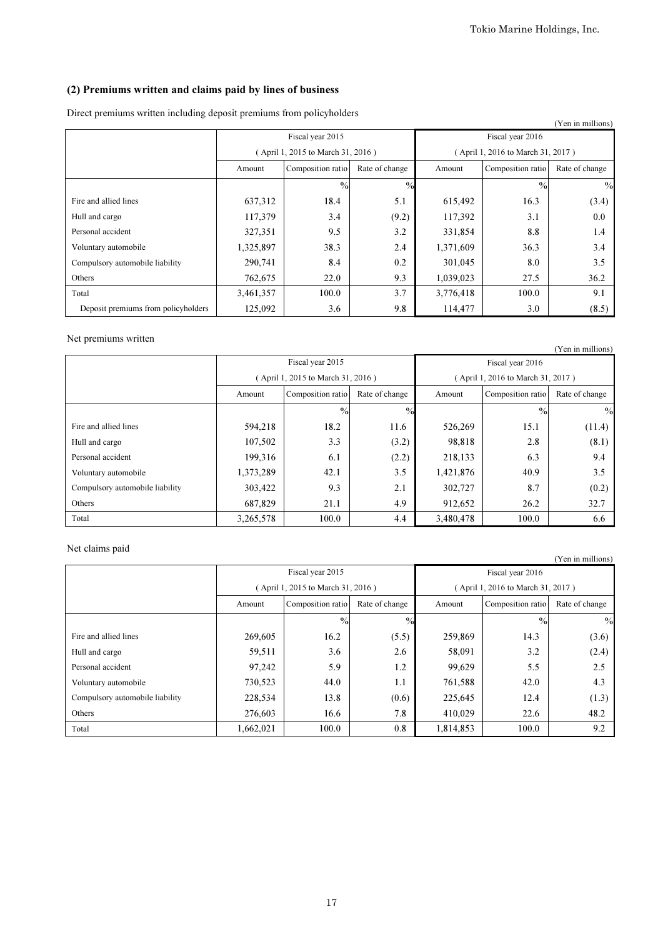# (2) Premiums written and claims paid by lines of business

Direct premiums written including deposit premiums from policyholders

|                                     |           |                                   |                |                  |                                   | (Yen in millions) |
|-------------------------------------|-----------|-----------------------------------|----------------|------------------|-----------------------------------|-------------------|
|                                     |           | Fiscal year 2015                  |                | Fiscal year 2016 |                                   |                   |
|                                     |           | (April 1, 2015 to March 31, 2016) |                |                  | (April 1, 2016 to March 31, 2017) |                   |
|                                     | Amount    | Composition ratio                 | Rate of change | Amount           | Composition ratio                 | Rate of change    |
|                                     |           | $\%$                              | $\frac{0}{2}$  |                  | $\frac{0}{0}$                     | $\%$              |
| Fire and allied lines               | 637,312   | 18.4                              | 5.1            | 615,492          | 16.3                              | (3.4)             |
| Hull and cargo                      | 117,379   | 3.4                               | (9.2)          | 117,392          | 3.1                               | 0.0               |
| Personal accident                   | 327,351   | 9.5                               | 3.2            | 331,854          | 8.8                               | 1.4               |
| Voluntary automobile                | 1,325,897 | 38.3                              | 2.4            | 1,371,609        | 36.3                              | 3.4               |
| Compulsory automobile liability     | 290,741   | 8.4                               | 0.2            | 301,045          | 8.0                               | 3.5               |
| Others                              | 762,675   | 22.0                              | 9.3            | 1,039,023        | 27.5                              | 36.2              |
| Total                               | 3,461,357 | 100.0                             | 3.7            | 3,776,418        | 100.0                             | 9.1               |
| Deposit premiums from policyholders | 125,092   | 3.6                               | 9.8            | 114,477          | 3.0                               | (8.5)             |

## Net premiums written

| , топ ні піппопэт               |           |                                     |               |                  |                                   |                |  |  |
|---------------------------------|-----------|-------------------------------------|---------------|------------------|-----------------------------------|----------------|--|--|
|                                 |           | Fiscal year 2015                    |               | Fiscal year 2016 |                                   |                |  |  |
|                                 |           | (April 1, 2015 to March 31, 2016)   |               |                  | (April 1, 2016 to March 31, 2017) |                |  |  |
|                                 | Amount    | Composition ratio<br>Rate of change |               |                  | Composition ratio                 | Rate of change |  |  |
|                                 |           | $\frac{0}{0}$                       | $\frac{0}{0}$ |                  | $\%$                              | $\%$           |  |  |
| Fire and allied lines           | 594,218   | 18.2                                | 11.6          | 526,269          | 15.1                              | (11.4)         |  |  |
| Hull and cargo                  | 107,502   | 3.3                                 | (3.2)         | 98,818           | 2.8                               | (8.1)          |  |  |
| Personal accident               | 199,316   | 6.1                                 | (2.2)         | 218,133          | 6.3                               | 9.4            |  |  |
| Voluntary automobile            | 1,373,289 | 42.1                                | 3.5           | 1,421,876        | 40.9                              | 3.5            |  |  |
| Compulsory automobile liability | 303,422   | 9.3                                 | 2.1           | 302,727          | 8.7                               | (0.2)          |  |  |
| Others                          | 687,829   | 21.1                                | 4.9           | 912,652          | 26.2                              | 32.7           |  |  |
| Total                           | 3,265,578 | 100.0                               | 4.4           | 3,480,478        | 100.0                             | 6.6            |  |  |

# Net claims paid

|                                 |           |                                     |       |           |                                   | (Yen in millions) |  |
|---------------------------------|-----------|-------------------------------------|-------|-----------|-----------------------------------|-------------------|--|
|                                 |           | Fiscal year 2015                    |       |           | Fiscal year 2016                  |                   |  |
|                                 |           | (April 1, 2015 to March 31, 2016)   |       |           | (April 1, 2016 to March 31, 2017) |                   |  |
|                                 | Amount    | Composition ratio<br>Rate of change |       |           | Composition ratio                 | Rate of change    |  |
|                                 |           | $\%$                                | $\%$  |           | $\%$                              | $\frac{0}{0}$     |  |
| Fire and allied lines           | 269,605   | 16.2                                | (5.5) | 259,869   | 14.3                              | (3.6)             |  |
| Hull and cargo                  | 59,511    | 3.6                                 | 2.6   | 58,091    | 3.2                               | (2.4)             |  |
| Personal accident               | 97,242    | 5.9                                 | 1.2   | 99,629    | 5.5                               | 2.5               |  |
| Voluntary automobile            | 730,523   | 44.0                                | 1.1   | 761,588   | 42.0                              | 4.3               |  |
| Compulsory automobile liability | 228,534   | 13.8                                | (0.6) | 225,645   | 12.4                              | (1.3)             |  |
| Others                          | 276,603   | 16.6                                | 7.8   | 410,029   | 22.6                              | 48.2              |  |
| Total                           | 1,662,021 | 100.0                               | 0.8   | 1,814,853 | 100.0                             | 9.2               |  |

17

(Yen in millions)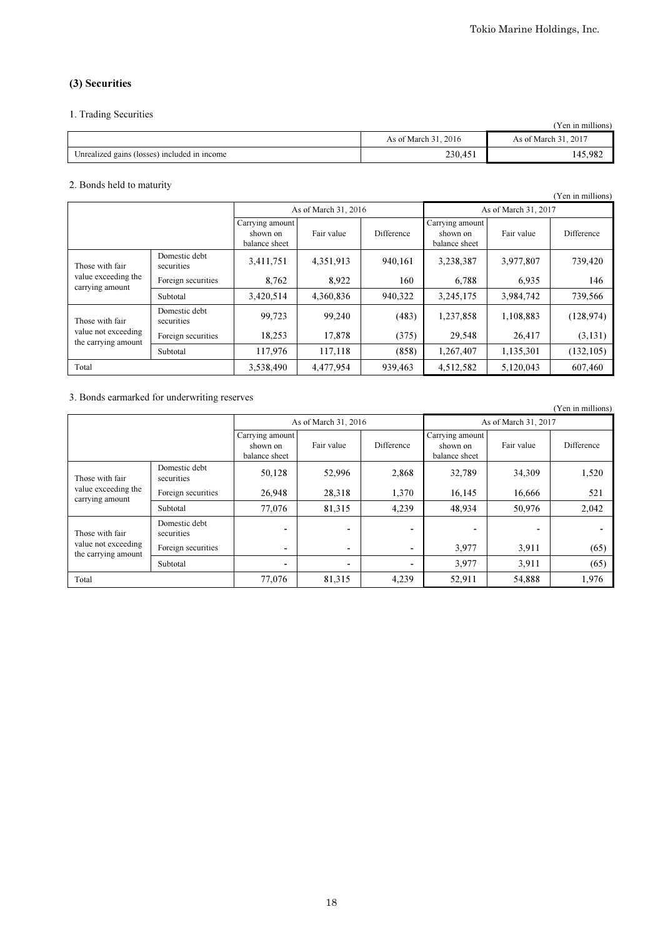# (3) Securities

## 1. Trading Securities

|                                              |                      | 'Yen in millions'    |
|----------------------------------------------|----------------------|----------------------|
|                                              | As of March 31, 2016 | As of March 31, 2017 |
| Unrealized gains (losses) included in income | 230,451              | 145,982              |

## 2. Bonds held to maturity

| $\epsilon$ . Donas nora to matam,                         |                             |                                              |                      |            |                                              |            | (Yen in millions) |
|-----------------------------------------------------------|-----------------------------|----------------------------------------------|----------------------|------------|----------------------------------------------|------------|-------------------|
|                                                           |                             |                                              | As of March 31, 2016 |            | As of March 31, 2017                         |            |                   |
|                                                           |                             | Carrying amount<br>shown on<br>balance sheet | Fair value           | Difference | Carrying amount<br>shown on<br>balance sheet | Fair value | Difference        |
| Those with fair<br>value exceeding the<br>carrying amount | Domestic debt<br>securities | 3,411,751                                    | 4,351,913            | 940,161    | 3,238,387                                    | 3,977,807  | 739,420           |
|                                                           | Foreign securities          | 8.762                                        | 8,922                | 160        | 6,788                                        | 6,935      | 146               |
|                                                           | Subtotal                    | 3,420,514                                    | 4,360,836            | 940,322    | 3,245,175                                    | 3,984,742  | 739,566           |
| Those with fair                                           | Domestic debt<br>securities | 99,723                                       | 99,240               | (483)      | 1,237,858                                    | 1,108,883  | (128, 974)        |
| value not exceeding<br>the carrying amount                | Foreign securities          | 18,253                                       | 17,878               | (375)      | 29,548                                       | 26,417     | (3, 131)          |
|                                                           | Subtotal                    | 117,976                                      | 117,118              | (858)      | 1,267,407                                    | 1,135,301  | (132, 105)        |
| 3,538,490<br>4,477,954<br>939,463<br>4,512,582<br>Total   |                             |                                              | 5,120,043            | 607,460    |                                              |            |                   |

# 3. Bonds earmarked for underwriting reserves

| $\sim$ . Bonds carmained for ander mining reserves        |                             |        |                      |            |                                              |            | (Yen in millions) |
|-----------------------------------------------------------|-----------------------------|--------|----------------------|------------|----------------------------------------------|------------|-------------------|
|                                                           |                             |        | As of March 31, 2016 |            | As of March 31, 2017                         |            |                   |
|                                                           |                             |        | Fair value           | Difference | Carrying amount<br>shown on<br>balance sheet | Fair value | Difference        |
| Those with fair<br>value exceeding the<br>carrying amount | Domestic debt<br>securities | 50,128 | 52,996               | 2,868      | 32,789                                       | 34,309     | 1,520             |
|                                                           | Foreign securities          | 26,948 | 28,318               | 1,370      | 16,145                                       | 16,666     | 521               |
|                                                           | Subtotal                    | 77,076 | 81,315               | 4,239      | 48,934                                       | 50,976     | 2,042             |
| Those with fair                                           | Domestic debt<br>securities |        | ٠                    |            |                                              |            |                   |
| value not exceeding<br>the carrying amount                | Foreign securities          |        | $\blacksquare$       |            | 3,977                                        | 3.911      | (65)              |
|                                                           | Subtotal                    | -      |                      |            | 3,977                                        | 3.911      | (65)              |
| Total                                                     |                             | 77,076 | 81,315               | 4,239      | 52,911                                       | 54,888     | 1,976             |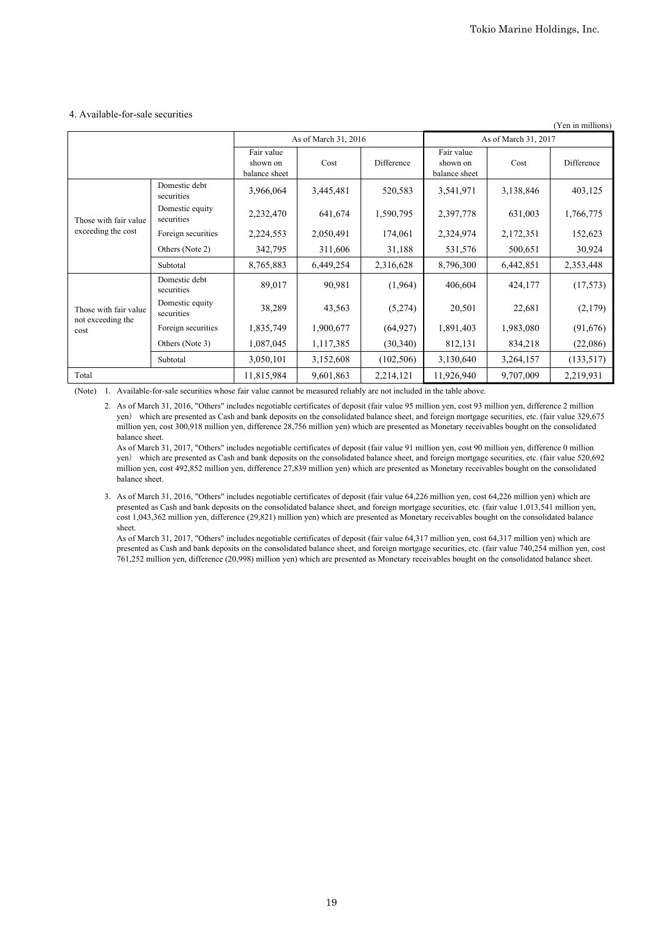#### 4. Available-for-sale securities

| (Yen in millions)         |                               |                                         |                      |            |                                         |           |            |
|---------------------------|-------------------------------|-----------------------------------------|----------------------|------------|-----------------------------------------|-----------|------------|
|                           |                               |                                         | As of March 31, 2016 |            | As of March 31, 2017                    |           |            |
|                           |                               | Fair value<br>shown on<br>balance sheet | Cost                 | Difference | Fair value<br>shown on<br>balance sheet | Cost      | Difference |
|                           | Domestic debt<br>securities   | 3,966,064                               | 3,445,481            | 520,583    | 3,541,971                               | 3,138,846 | 403,125    |
| Those with fair value     | Domestic equity<br>securities | 2,232,470                               | 641,674              | 1,590,795  | 2,397,778                               | 631,003   | 1,766,775  |
| exceeding the cost        | Foreign securities            | 2,224,553                               | 2,050,491            | 174,061    | 2,324,974                               | 2,172,351 | 152,623    |
|                           | Others (Note 2)               | 342,795                                 | 311,606              | 31,188     | 531,576                                 | 500,651   | 30,924     |
|                           | Subtotal                      | 8,765,883                               | 6,449,254            | 2,316,628  | 8,796,300                               | 6,442,851 | 2,353,448  |
|                           | Domestic debt<br>securities   | 89,017                                  | 90,981               | (1,964)    | 406,604                                 | 424,177   | (17,573)   |
| Those with fair value     | Domestic equity<br>securities | 38,289                                  | 43,563               | (5,274)    | 20,501                                  | 22,681    | (2,179)    |
| not exceeding the<br>cost | Foreign securities            | 1,835,749                               | 1,900,677            | (64, 927)  | 1,891,403                               | 1,983,080 | (91,676)   |
|                           | Others (Note 3)               | 1,087,045                               | 1,117,385            | (30,340)   | 812,131                                 | 834,218   | (22,086)   |
|                           | Subtotal                      | 3,050,101                               | 3,152,608            | (102, 506) | 3,130,640                               | 3,264,157 | (133, 517) |
| Total                     |                               | 11,815,984                              | 9,601,863            | 2,214,121  | 11,926,940                              | 9,707,009 | 2,219,931  |

(Note) 1. Available-for-sale securities whose fair value cannot be measured reliably are not included in the table above.

2. As of March 31, 2016, "Others" includes negotiable certificates of deposit (fair value 95 million yen, cost 93 million yen, difference 2 million yen) which are presented as Cash and bank deposits on the consolidated balance sheet, and foreign mortgage securities, etc. (fair value 329,675 million yen, cost 300,918 million yen, difference 28,756 million yen) which are presented as Monetary receivables bought on the consolidated balance sheet.

As of March 31, 2017, "Others" includes negotiable certificates of deposit (fair value 91 million yen, cost 90 million yen, difference 0 million yen) which are presented as Cash and bank deposits on the consolidated balance sheet, and foreign mortgage securities, etc. (fair value 520,692 million yen, cost 492,852 million yen, difference 27,839 million yen) which are presented as Monetary receivables bought on the consolidated balance sheet.

3. As of March 31, 2016, "Others" includes negotiable certificates of deposit (fair value 64,226 million yen, cost 64,226 million yen) which are presented as Cash and bank deposits on the consolidated balance sheet, and foreign mortgage securities, etc. (fair value 1,013,541 million yen, cost 1,043,362 million yen, difference (29,821) million yen) which are presented as Monetary receivables bought on the consolidated balance sheet.

As of March 31, 2017, "Others" includes negotiable certificates of deposit (fair value 64,317 million yen, cost 64,317 million yen) which are presented as Cash and bank deposits on the consolidated balance sheet, and foreign mortgage securities, etc. (fair value 740,254 million yen, cost 761,252 million yen, difference (20,998) million yen) which are presented as Monetary receivables bought on the consolidated balance sheet.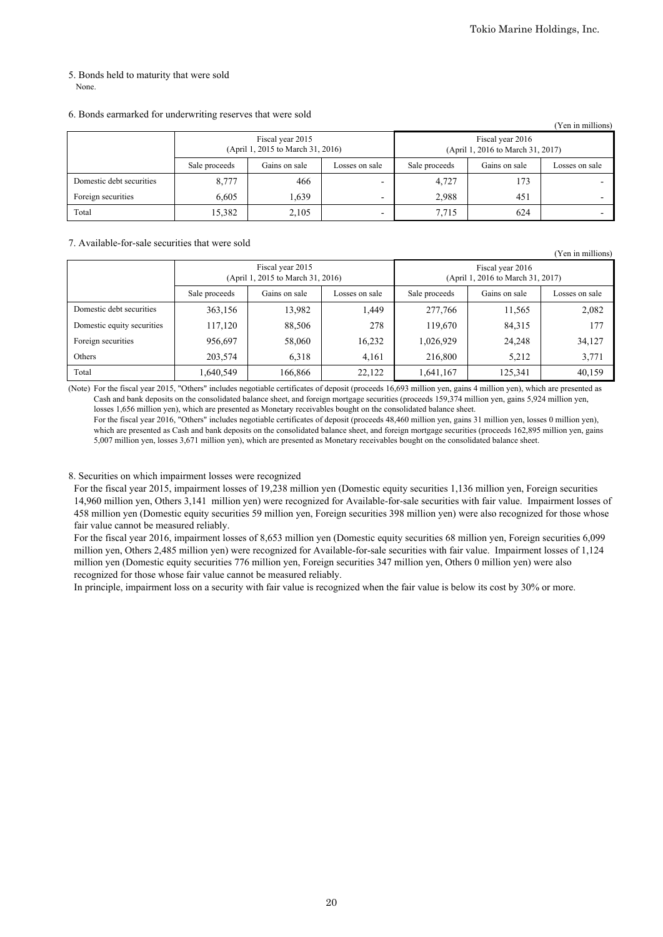(Yen in millions)

# 5. Bonds held to maturity that were sold

None.

### 6. Bonds earmarked for underwriting reserves that were sold

| (Yen in millions)        |               |                                                       |                          |                                                       |               |                |  |  |  |
|--------------------------|---------------|-------------------------------------------------------|--------------------------|-------------------------------------------------------|---------------|----------------|--|--|--|
|                          |               | Fiscal year 2015<br>(April 1, 2015 to March 31, 2016) |                          | Fiscal year 2016<br>(April 1, 2016 to March 31, 2017) |               |                |  |  |  |
|                          | Sale proceeds | Gains on sale<br>Losses on sale                       |                          |                                                       | Gains on sale | Losses on sale |  |  |  |
| Domestic debt securities | 8,777         | 466                                                   |                          | 4,727                                                 | 173           |                |  |  |  |
| Foreign securities       | 6.605         | 1,639                                                 | $\overline{\phantom{0}}$ | 2,988                                                 | 451           |                |  |  |  |
| Total                    | 15,382        | 2,105                                                 | $\overline{\phantom{0}}$ | 7.715                                                 | 624           |                |  |  |  |

#### 7. Available-for-sale securities that were sold

|                            |               |                                                       |                |                                                       |               | $\sim$ 0.1 1.1 1.1.1.1.1.0.1.1.0 |  |
|----------------------------|---------------|-------------------------------------------------------|----------------|-------------------------------------------------------|---------------|----------------------------------|--|
|                            |               | Fiscal year 2015<br>(April 1, 2015 to March 31, 2016) |                | Fiscal year 2016<br>(April 1, 2016 to March 31, 2017) |               |                                  |  |
|                            | Sale proceeds | Gains on sale                                         | Losses on sale | Sale proceeds                                         | Gains on sale | Losses on sale                   |  |
| Domestic debt securities   | 363,156       | 13,982                                                | 1.449          | 277,766                                               | 11,565        | 2,082                            |  |
| Domestic equity securities | 117,120       | 88,506                                                | 278            | 119,670                                               | 84,315        | 177                              |  |
| Foreign securities         | 956,697       | 58,060                                                | 16,232         | 1,026,929                                             | 24,248        | 34,127                           |  |
| Others                     | 203,574       | 6,318                                                 | 4,161          | 216,800                                               | 5,212         | 3,771                            |  |
| Total                      | .640,549      | 166,866                                               | 22,122         | 1,641,167                                             | 125,341       | 40,159                           |  |

(Note) For the fiscal year 2015, "Others" includes negotiable certificates of deposit (proceeds 16,693 million yen, gains 4 million yen), which are presented as Cash and bank deposits on the consolidated balance sheet, and foreign mortgage securities (proceeds 159,374 million yen, gains 5,924 million yen, losses 1,656 million yen), which are presented as Monetary receivables bought on the consolidated balance sheet.

For the fiscal year 2016, "Others" includes negotiable certificates of deposit (proceeds 48,460 million yen, gains 31 million yen, losses 0 million yen), which are presented as Cash and bank deposits on the consolidated balance sheet, and foreign mortgage securities (proceeds 162,895 million yen, gains 5,007 million yen, losses 3,671 million yen), which are presented as Monetary receivables bought on the consolidated balance sheet.

### 8. Securities on which impairment losses were recognized

For the fiscal year 2015, impairment losses of 19,238 million yen (Domestic equity securities 1,136 million yen, Foreign securities 14,960 million yen, Others 3,141 million yen) were recognized for Available-for-sale securities with fair value. Impairment losses of 458 million yen (Domestic equity securities 59 million yen, Foreign securities 398 million yen) were also recognized for those whose fair value cannot be measured reliably.

For the fiscal year 2016, impairment losses of 8,653 million yen (Domestic equity securities 68 million yen, Foreign securities 6,099 million yen, Others 2,485 million yen) were recognized for Available-for-sale securities with fair value. Impairment losses of 1,124 million yen (Domestic equity securities 776 million yen, Foreign securities 347 million yen, Others 0 million yen) were also recognized for those whose fair value cannot be measured reliably.

In principle, impairment loss on a security with fair value is recognized when the fair value is below its cost by 30% or more.